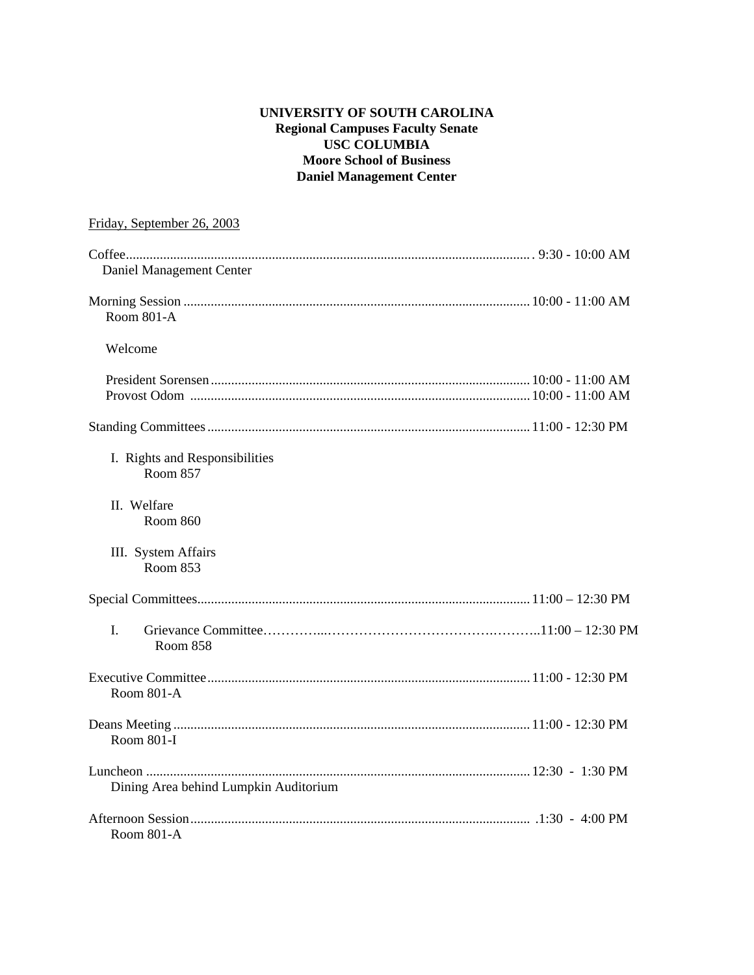### **UNIVERSITY OF SOUTH CAROLINA Regional Campuses Faculty Senate USC COLUMBIA Moore School of Business Daniel Management Center**

| Friday, September 26, 2003                        |  |
|---------------------------------------------------|--|
| Daniel Management Center                          |  |
| <b>Room 801-A</b>                                 |  |
| Welcome                                           |  |
|                                                   |  |
|                                                   |  |
| I. Rights and Responsibilities<br><b>Room 857</b> |  |
| II. Welfare<br>Room 860                           |  |
| III. System Affairs<br>Room 853                   |  |
|                                                   |  |
| L<br>Room 858                                     |  |
| Room 801-A                                        |  |
| Room 801-I                                        |  |
| Dining Area behind Lumpkin Auditorium             |  |
| <b>Room 801-A</b>                                 |  |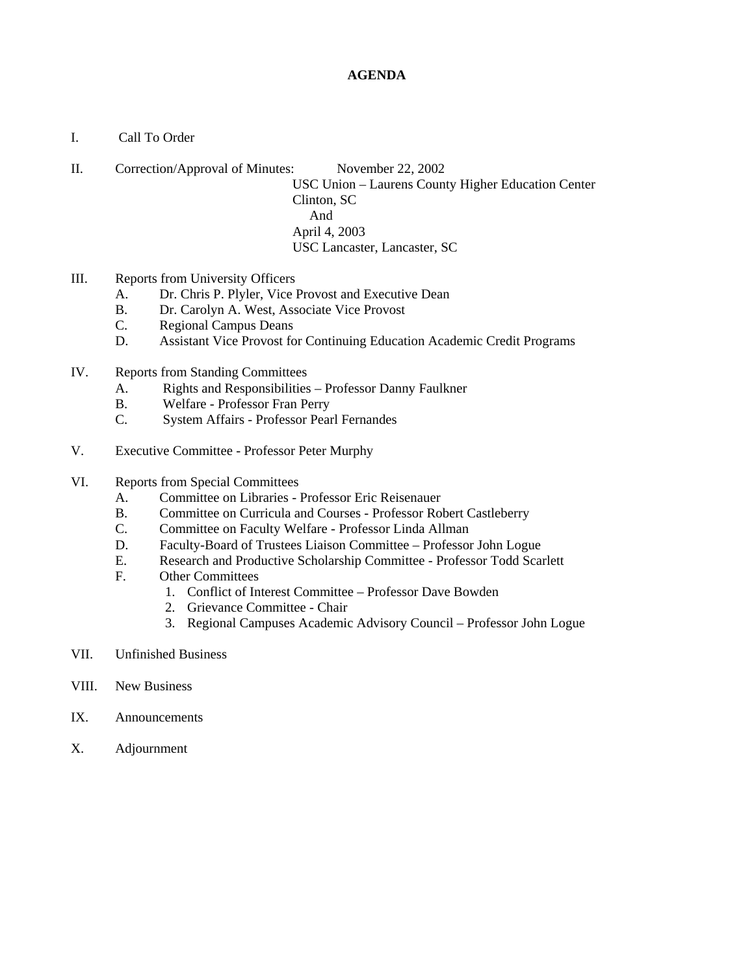#### **AGENDA**

I. Call To Order

II. Correction/Approval of Minutes: November 22, 2002 USC Union – Laurens County Higher Education Center Clinton, SC And April 4, 2003 USC Lancaster, Lancaster, SC

#### III. Reports from University Officers

- A. Dr. Chris P. Plyler, Vice Provost and Executive Dean
- B. Dr. Carolyn A. West, Associate Vice Provost<br>C. Regional Campus Deans
- Regional Campus Deans
- D. Assistant Vice Provost for Continuing Education Academic Credit Programs
- IV. Reports from Standing Committees
	- A. Rights and Responsibilities Professor Danny Faulkner
	- B. Welfare Professor Fran Perry
	- C. System Affairs Professor Pearl Fernandes
- V. Executive Committee Professor Peter Murphy
- VI. Reports from Special Committees
	- A. Committee on Libraries Professor Eric Reisenauer
	- B. Committee on Curricula and Courses Professor Robert Castleberry
	- C. Committee on Faculty Welfare Professor Linda Allman
	- D. Faculty-Board of Trustees Liaison Committee Professor John Logue
	- E. Research and Productive Scholarship Committee Professor Todd Scarlett
	- F. Other Committees
		- 1. Conflict of Interest Committee Professor Dave Bowden
		- 2. Grievance Committee Chair
		- 3. Regional Campuses Academic Advisory Council Professor John Logue
- VII. Unfinished Business
- VIII. New Business
- IX. Announcements
- X. Adjournment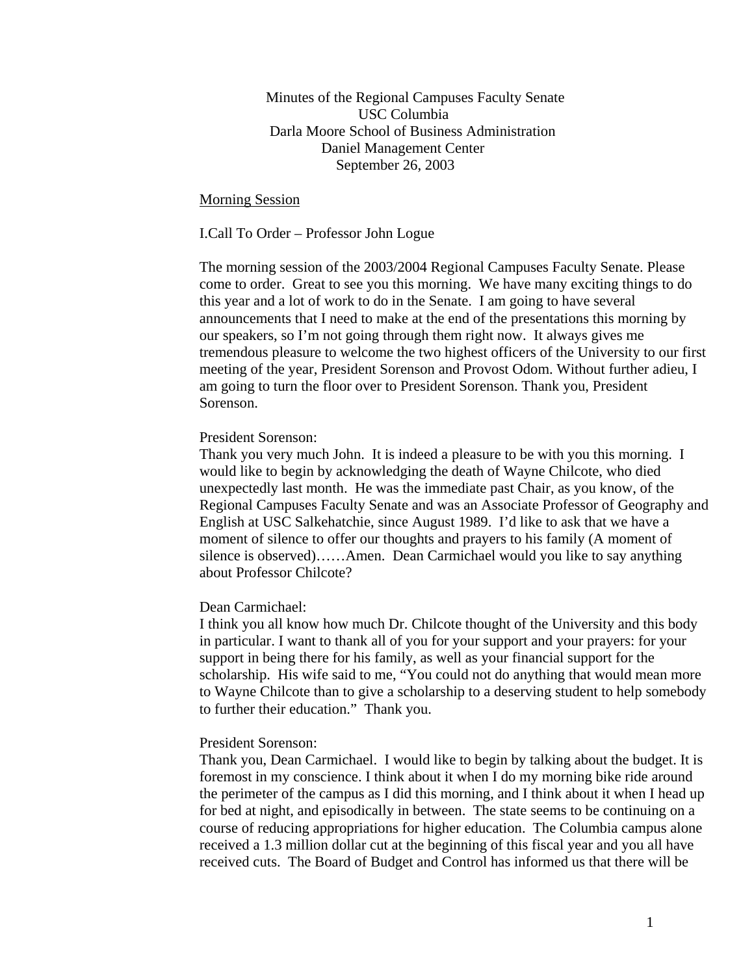Minutes of the Regional Campuses Faculty Senate USC Columbia Darla Moore School of Business Administration Daniel Management Center September 26, 2003

#### Morning Session

#### I.Call To Order – Professor John Logue

The morning session of the 2003/2004 Regional Campuses Faculty Senate. Please come to order. Great to see you this morning. We have many exciting things to do this year and a lot of work to do in the Senate. I am going to have several announcements that I need to make at the end of the presentations this morning by our speakers, so I'm not going through them right now. It always gives me tremendous pleasure to welcome the two highest officers of the University to our first meeting of the year, President Sorenson and Provost Odom. Without further adieu, I am going to turn the floor over to President Sorenson. Thank you, President Sorenson.

#### President Sorenson:

Thank you very much John. It is indeed a pleasure to be with you this morning. I would like to begin by acknowledging the death of Wayne Chilcote, who died unexpectedly last month. He was the immediate past Chair, as you know, of the Regional Campuses Faculty Senate and was an Associate Professor of Geography and English at USC Salkehatchie, since August 1989. I'd like to ask that we have a moment of silence to offer our thoughts and prayers to his family (A moment of silence is observed)……Amen. Dean Carmichael would you like to say anything about Professor Chilcote?

#### Dean Carmichael:

I think you all know how much Dr. Chilcote thought of the University and this body in particular. I want to thank all of you for your support and your prayers: for your support in being there for his family, as well as your financial support for the scholarship. His wife said to me, "You could not do anything that would mean more to Wayne Chilcote than to give a scholarship to a deserving student to help somebody to further their education." Thank you.

#### President Sorenson:

Thank you, Dean Carmichael. I would like to begin by talking about the budget. It is foremost in my conscience. I think about it when I do my morning bike ride around the perimeter of the campus as I did this morning, and I think about it when I head up for bed at night, and episodically in between. The state seems to be continuing on a course of reducing appropriations for higher education. The Columbia campus alone received a 1.3 million dollar cut at the beginning of this fiscal year and you all have received cuts. The Board of Budget and Control has informed us that there will be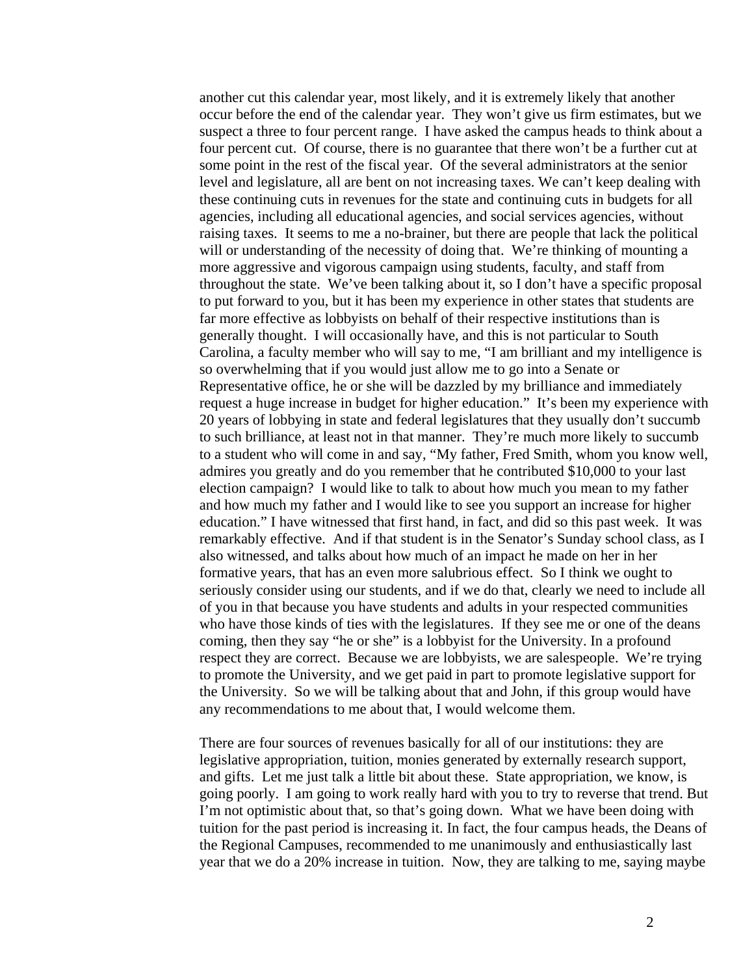another cut this calendar year, most likely, and it is extremely likely that another occur before the end of the calendar year. They won't give us firm estimates, but we suspect a three to four percent range. I have asked the campus heads to think about a four percent cut. Of course, there is no guarantee that there won't be a further cut at some point in the rest of the fiscal year. Of the several administrators at the senior level and legislature, all are bent on not increasing taxes. We can't keep dealing with these continuing cuts in revenues for the state and continuing cuts in budgets for all agencies, including all educational agencies, and social services agencies, without raising taxes. It seems to me a no-brainer, but there are people that lack the political will or understanding of the necessity of doing that. We're thinking of mounting a more aggressive and vigorous campaign using students, faculty, and staff from throughout the state. We've been talking about it, so I don't have a specific proposal to put forward to you, but it has been my experience in other states that students are far more effective as lobbyists on behalf of their respective institutions than is generally thought. I will occasionally have, and this is not particular to South Carolina, a faculty member who will say to me, "I am brilliant and my intelligence is so overwhelming that if you would just allow me to go into a Senate or Representative office, he or she will be dazzled by my brilliance and immediately request a huge increase in budget for higher education." It's been my experience with 20 years of lobbying in state and federal legislatures that they usually don't succumb to such brilliance, at least not in that manner. They're much more likely to succumb to a student who will come in and say, "My father, Fred Smith, whom you know well, admires you greatly and do you remember that he contributed \$10,000 to your last election campaign? I would like to talk to about how much you mean to my father and how much my father and I would like to see you support an increase for higher education." I have witnessed that first hand, in fact, and did so this past week. It was remarkably effective. And if that student is in the Senator's Sunday school class, as I also witnessed, and talks about how much of an impact he made on her in her formative years, that has an even more salubrious effect. So I think we ought to seriously consider using our students, and if we do that, clearly we need to include all of you in that because you have students and adults in your respected communities who have those kinds of ties with the legislatures. If they see me or one of the deans coming, then they say "he or she" is a lobbyist for the University. In a profound respect they are correct. Because we are lobbyists, we are salespeople. We're trying to promote the University, and we get paid in part to promote legislative support for the University. So we will be talking about that and John, if this group would have any recommendations to me about that, I would welcome them.

There are four sources of revenues basically for all of our institutions: they are legislative appropriation, tuition, monies generated by externally research support, and gifts. Let me just talk a little bit about these. State appropriation, we know, is going poorly. I am going to work really hard with you to try to reverse that trend. But I'm not optimistic about that, so that's going down. What we have been doing with tuition for the past period is increasing it. In fact, the four campus heads, the Deans of the Regional Campuses, recommended to me unanimously and enthusiastically last year that we do a 20% increase in tuition. Now, they are talking to me, saying maybe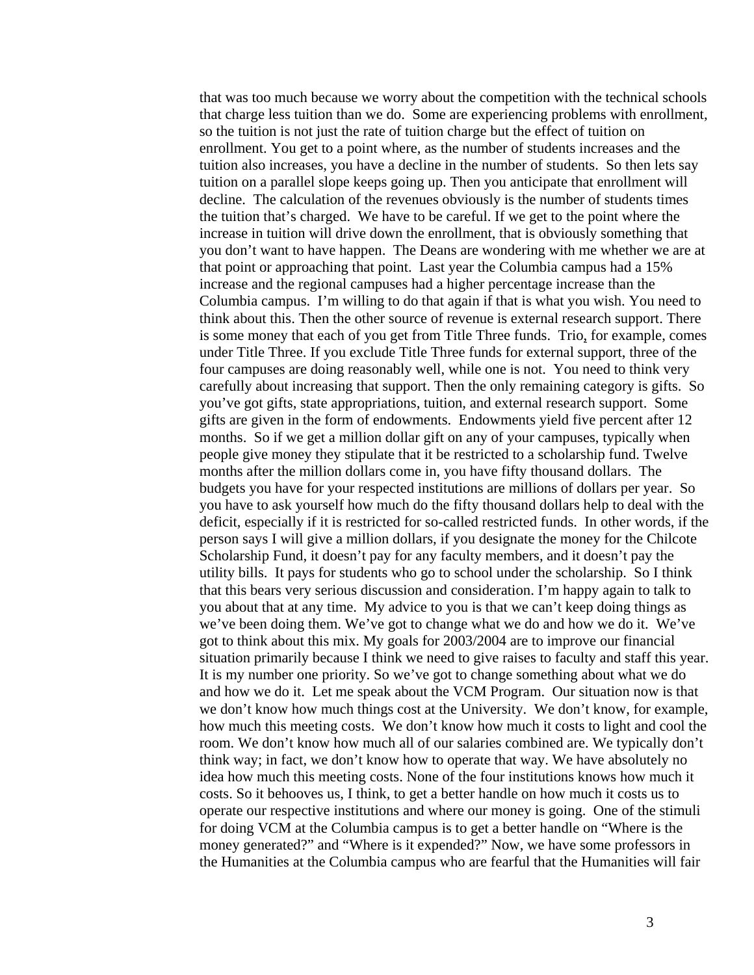that was too much because we worry about the competition with the technical schools that charge less tuition than we do. Some are experiencing problems with enrollment, so the tuition is not just the rate of tuition charge but the effect of tuition on enrollment. You get to a point where, as the number of students increases and the tuition also increases, you have a decline in the number of students. So then lets say tuition on a parallel slope keeps going up. Then you anticipate that enrollment will decline. The calculation of the revenues obviously is the number of students times the tuition that's charged. We have to be careful. If we get to the point where the increase in tuition will drive down the enrollment, that is obviously something that you don't want to have happen. The Deans are wondering with me whether we are at that point or approaching that point. Last year the Columbia campus had a 15% increase and the regional campuses had a higher percentage increase than the Columbia campus. I'm willing to do that again if that is what you wish. You need to think about this. Then the other source of revenue is external research support. There is some money that each of you get from Title Three funds. Trio, for example, comes under Title Three. If you exclude Title Three funds for external support, three of the four campuses are doing reasonably well, while one is not. You need to think very carefully about increasing that support. Then the only remaining category is gifts. So you've got gifts, state appropriations, tuition, and external research support. Some gifts are given in the form of endowments. Endowments yield five percent after 12 months. So if we get a million dollar gift on any of your campuses, typically when people give money they stipulate that it be restricted to a scholarship fund. Twelve months after the million dollars come in, you have fifty thousand dollars. The budgets you have for your respected institutions are millions of dollars per year. So you have to ask yourself how much do the fifty thousand dollars help to deal with the deficit, especially if it is restricted for so-called restricted funds. In other words, if the person says I will give a million dollars, if you designate the money for the Chilcote Scholarship Fund, it doesn't pay for any faculty members, and it doesn't pay the utility bills. It pays for students who go to school under the scholarship. So I think that this bears very serious discussion and consideration. I'm happy again to talk to you about that at any time. My advice to you is that we can't keep doing things as we've been doing them. We've got to change what we do and how we do it. We've got to think about this mix. My goals for 2003/2004 are to improve our financial situation primarily because I think we need to give raises to faculty and staff this year. It is my number one priority. So we've got to change something about what we do and how we do it. Let me speak about the VCM Program. Our situation now is that we don't know how much things cost at the University. We don't know, for example, how much this meeting costs. We don't know how much it costs to light and cool the room. We don't know how much all of our salaries combined are. We typically don't think way; in fact, we don't know how to operate that way. We have absolutely no idea how much this meeting costs. None of the four institutions knows how much it costs. So it behooves us, I think, to get a better handle on how much it costs us to operate our respective institutions and where our money is going. One of the stimuli for doing VCM at the Columbia campus is to get a better handle on "Where is the money generated?" and "Where is it expended?" Now, we have some professors in the Humanities at the Columbia campus who are fearful that the Humanities will fair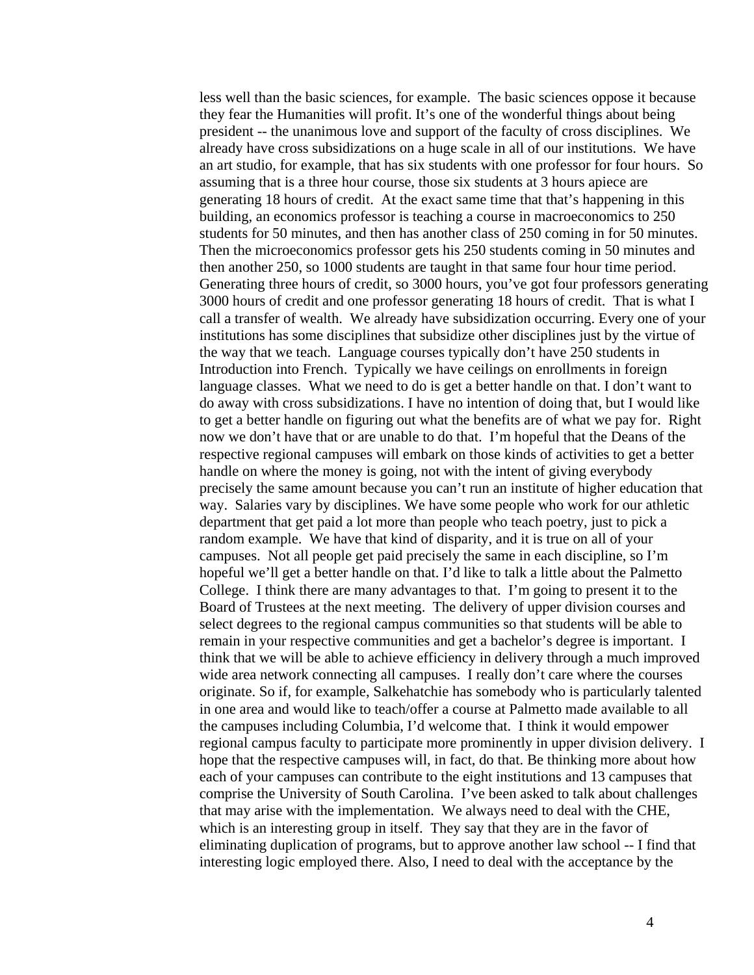less well than the basic sciences, for example. The basic sciences oppose it because they fear the Humanities will profit. It's one of the wonderful things about being president -- the unanimous love and support of the faculty of cross disciplines. We already have cross subsidizations on a huge scale in all of our institutions. We have an art studio, for example, that has six students with one professor for four hours. So assuming that is a three hour course, those six students at 3 hours apiece are generating 18 hours of credit. At the exact same time that that's happening in this building, an economics professor is teaching a course in macroeconomics to 250 students for 50 minutes, and then has another class of 250 coming in for 50 minutes. Then the microeconomics professor gets his 250 students coming in 50 minutes and then another 250, so 1000 students are taught in that same four hour time period. Generating three hours of credit, so 3000 hours, you've got four professors generating 3000 hours of credit and one professor generating 18 hours of credit. That is what I call a transfer of wealth. We already have subsidization occurring. Every one of your institutions has some disciplines that subsidize other disciplines just by the virtue of the way that we teach. Language courses typically don't have 250 students in Introduction into French. Typically we have ceilings on enrollments in foreign language classes. What we need to do is get a better handle on that. I don't want to do away with cross subsidizations. I have no intention of doing that, but I would like to get a better handle on figuring out what the benefits are of what we pay for. Right now we don't have that or are unable to do that. I'm hopeful that the Deans of the respective regional campuses will embark on those kinds of activities to get a better handle on where the money is going, not with the intent of giving everybody precisely the same amount because you can't run an institute of higher education that way. Salaries vary by disciplines. We have some people who work for our athletic department that get paid a lot more than people who teach poetry, just to pick a random example. We have that kind of disparity, and it is true on all of your campuses. Not all people get paid precisely the same in each discipline, so I'm hopeful we'll get a better handle on that. I'd like to talk a little about the Palmetto College. I think there are many advantages to that. I'm going to present it to the Board of Trustees at the next meeting. The delivery of upper division courses and select degrees to the regional campus communities so that students will be able to remain in your respective communities and get a bachelor's degree is important. I think that we will be able to achieve efficiency in delivery through a much improved wide area network connecting all campuses. I really don't care where the courses originate. So if, for example, Salkehatchie has somebody who is particularly talented in one area and would like to teach/offer a course at Palmetto made available to all the campuses including Columbia, I'd welcome that. I think it would empower regional campus faculty to participate more prominently in upper division delivery. I hope that the respective campuses will, in fact, do that. Be thinking more about how each of your campuses can contribute to the eight institutions and 13 campuses that comprise the University of South Carolina. I've been asked to talk about challenges that may arise with the implementation. We always need to deal with the CHE, which is an interesting group in itself. They say that they are in the favor of eliminating duplication of programs, but to approve another law school -- I find that interesting logic employed there. Also, I need to deal with the acceptance by the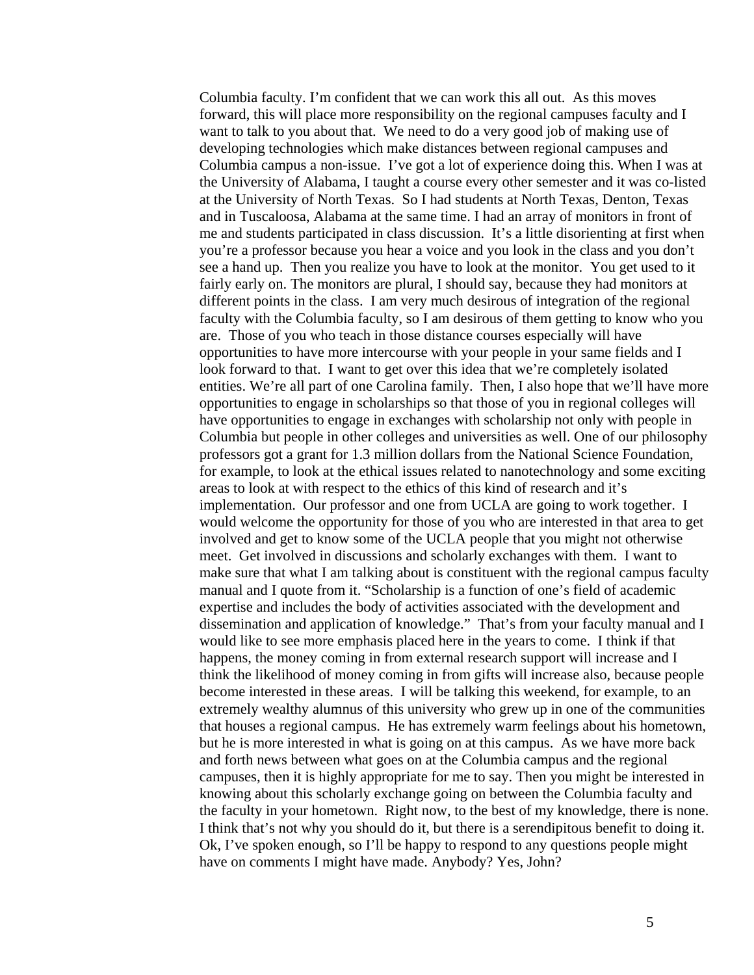Columbia faculty. I'm confident that we can work this all out. As this moves forward, this will place more responsibility on the regional campuses faculty and I want to talk to you about that. We need to do a very good job of making use of developing technologies which make distances between regional campuses and Columbia campus a non-issue. I've got a lot of experience doing this. When I was at the University of Alabama, I taught a course every other semester and it was co-listed at the University of North Texas. So I had students at North Texas, Denton, Texas and in Tuscaloosa, Alabama at the same time. I had an array of monitors in front of me and students participated in class discussion. It's a little disorienting at first when you're a professor because you hear a voice and you look in the class and you don't see a hand up. Then you realize you have to look at the monitor. You get used to it fairly early on. The monitors are plural, I should say, because they had monitors at different points in the class. I am very much desirous of integration of the regional faculty with the Columbia faculty, so I am desirous of them getting to know who you are. Those of you who teach in those distance courses especially will have opportunities to have more intercourse with your people in your same fields and I look forward to that. I want to get over this idea that we're completely isolated entities. We're all part of one Carolina family. Then, I also hope that we'll have more opportunities to engage in scholarships so that those of you in regional colleges will have opportunities to engage in exchanges with scholarship not only with people in Columbia but people in other colleges and universities as well. One of our philosophy professors got a grant for 1.3 million dollars from the National Science Foundation, for example, to look at the ethical issues related to nanotechnology and some exciting areas to look at with respect to the ethics of this kind of research and it's implementation. Our professor and one from UCLA are going to work together. I would welcome the opportunity for those of you who are interested in that area to get involved and get to know some of the UCLA people that you might not otherwise meet. Get involved in discussions and scholarly exchanges with them. I want to make sure that what I am talking about is constituent with the regional campus faculty manual and I quote from it. "Scholarship is a function of one's field of academic expertise and includes the body of activities associated with the development and dissemination and application of knowledge." That's from your faculty manual and I would like to see more emphasis placed here in the years to come. I think if that happens, the money coming in from external research support will increase and I think the likelihood of money coming in from gifts will increase also, because people become interested in these areas. I will be talking this weekend, for example, to an extremely wealthy alumnus of this university who grew up in one of the communities that houses a regional campus. He has extremely warm feelings about his hometown, but he is more interested in what is going on at this campus. As we have more back and forth news between what goes on at the Columbia campus and the regional campuses, then it is highly appropriate for me to say. Then you might be interested in knowing about this scholarly exchange going on between the Columbia faculty and the faculty in your hometown. Right now, to the best of my knowledge, there is none. I think that's not why you should do it, but there is a serendipitous benefit to doing it. Ok, I've spoken enough, so I'll be happy to respond to any questions people might have on comments I might have made. Anybody? Yes, John?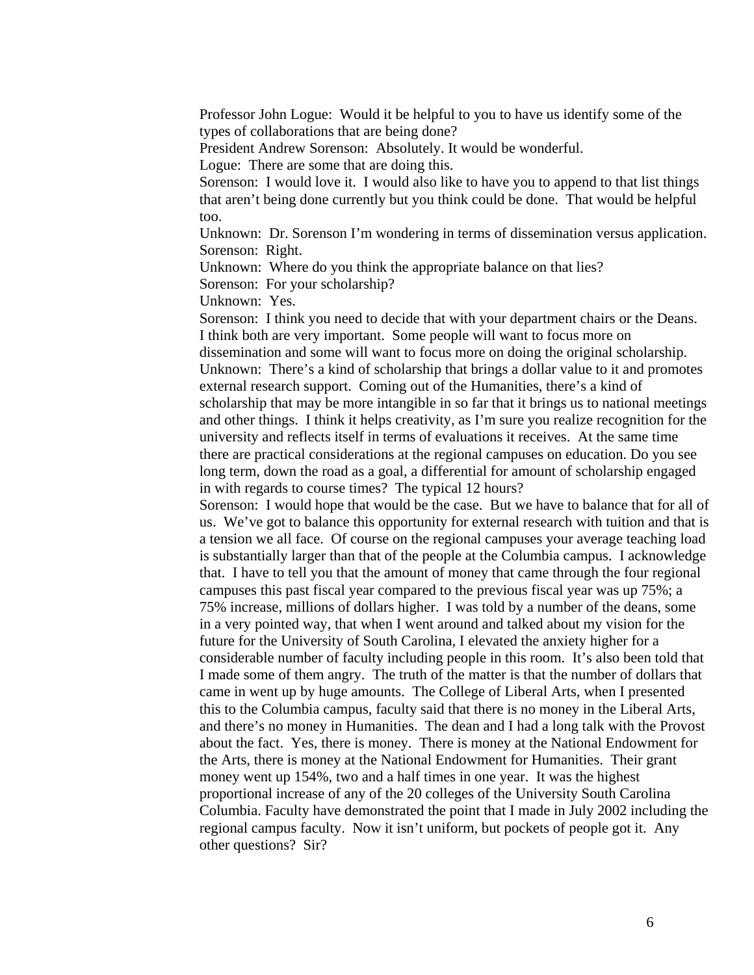Professor John Logue: Would it be helpful to you to have us identify some of the types of collaborations that are being done?

President Andrew Sorenson: Absolutely. It would be wonderful.

Logue: There are some that are doing this.

Sorenson: I would love it. I would also like to have you to append to that list things that aren't being done currently but you think could be done. That would be helpful too.

Unknown: Dr. Sorenson I'm wondering in terms of dissemination versus application. Sorenson: Right.

Unknown: Where do you think the appropriate balance on that lies?

Sorenson: For your scholarship?

Unknown: Yes.

Sorenson: I think you need to decide that with your department chairs or the Deans. I think both are very important. Some people will want to focus more on dissemination and some will want to focus more on doing the original scholarship. Unknown: There's a kind of scholarship that brings a dollar value to it and promotes external research support. Coming out of the Humanities, there's a kind of scholarship that may be more intangible in so far that it brings us to national meetings and other things. I think it helps creativity, as I'm sure you realize recognition for the university and reflects itself in terms of evaluations it receives. At the same time there are practical considerations at the regional campuses on education. Do you see long term, down the road as a goal, a differential for amount of scholarship engaged in with regards to course times? The typical 12 hours?

Sorenson: I would hope that would be the case. But we have to balance that for all of us. We've got to balance this opportunity for external research with tuition and that is a tension we all face. Of course on the regional campuses your average teaching load is substantially larger than that of the people at the Columbia campus. I acknowledge that. I have to tell you that the amount of money that came through the four regional campuses this past fiscal year compared to the previous fiscal year was up 75%; a 75% increase, millions of dollars higher. I was told by a number of the deans, some in a very pointed way, that when I went around and talked about my vision for the future for the University of South Carolina, I elevated the anxiety higher for a considerable number of faculty including people in this room. It's also been told that I made some of them angry. The truth of the matter is that the number of dollars that came in went up by huge amounts. The College of Liberal Arts, when I presented this to the Columbia campus, faculty said that there is no money in the Liberal Arts, and there's no money in Humanities. The dean and I had a long talk with the Provost about the fact. Yes, there is money. There is money at the National Endowment for the Arts, there is money at the National Endowment for Humanities. Their grant money went up 154%, two and a half times in one year. It was the highest proportional increase of any of the 20 colleges of the University South Carolina Columbia. Faculty have demonstrated the point that I made in July 2002 including the regional campus faculty. Now it isn't uniform, but pockets of people got it. Any other questions? Sir?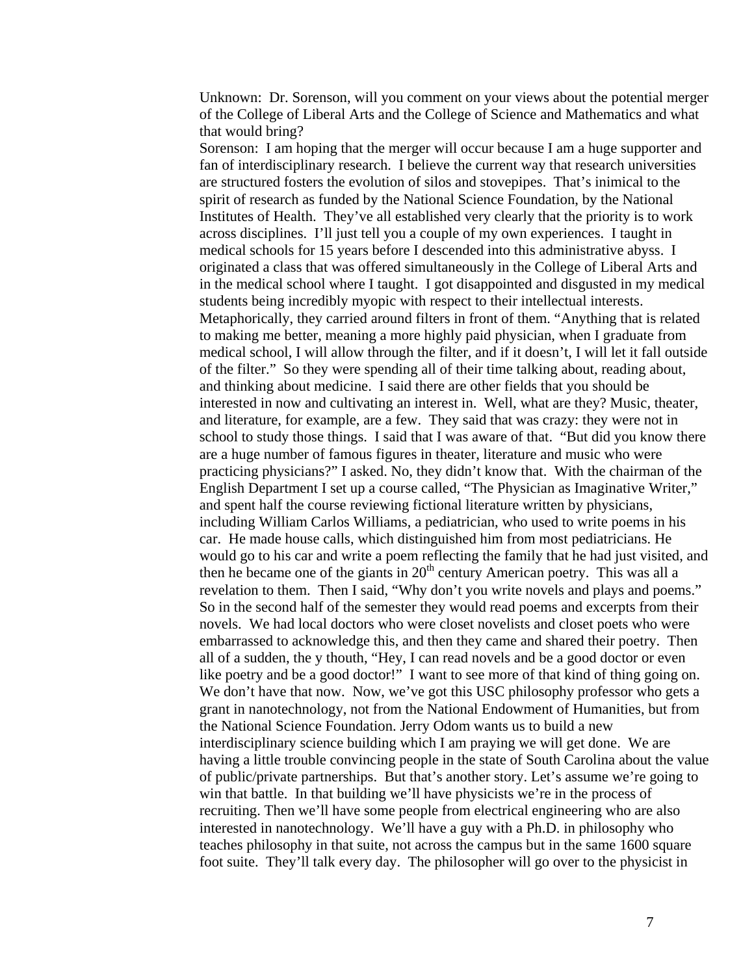Unknown: Dr. Sorenson, will you comment on your views about the potential merger of the College of Liberal Arts and the College of Science and Mathematics and what that would bring?

Sorenson: I am hoping that the merger will occur because I am a huge supporter and fan of interdisciplinary research. I believe the current way that research universities are structured fosters the evolution of silos and stovepipes. That's inimical to the spirit of research as funded by the National Science Foundation, by the National Institutes of Health. They've all established very clearly that the priority is to work across disciplines. I'll just tell you a couple of my own experiences. I taught in medical schools for 15 years before I descended into this administrative abyss. I originated a class that was offered simultaneously in the College of Liberal Arts and in the medical school where I taught. I got disappointed and disgusted in my medical students being incredibly myopic with respect to their intellectual interests. Metaphorically, they carried around filters in front of them. "Anything that is related to making me better, meaning a more highly paid physician, when I graduate from medical school, I will allow through the filter, and if it doesn't, I will let it fall outside of the filter." So they were spending all of their time talking about, reading about, and thinking about medicine. I said there are other fields that you should be interested in now and cultivating an interest in. Well, what are they? Music, theater, and literature, for example, are a few. They said that was crazy: they were not in school to study those things. I said that I was aware of that. "But did you know there are a huge number of famous figures in theater, literature and music who were practicing physicians?" I asked. No, they didn't know that. With the chairman of the English Department I set up a course called, "The Physician as Imaginative Writer," and spent half the course reviewing fictional literature written by physicians, including William Carlos Williams, a pediatrician, who used to write poems in his car. He made house calls, which distinguished him from most pediatricians. He would go to his car and write a poem reflecting the family that he had just visited, and then he became one of the giants in  $20<sup>th</sup>$  century American poetry. This was all a revelation to them. Then I said, "Why don't you write novels and plays and poems." So in the second half of the semester they would read poems and excerpts from their novels. We had local doctors who were closet novelists and closet poets who were embarrassed to acknowledge this, and then they came and shared their poetry. Then all of a sudden, the y thouth, "Hey, I can read novels and be a good doctor or even like poetry and be a good doctor!" I want to see more of that kind of thing going on. We don't have that now. Now, we've got this USC philosophy professor who gets a grant in nanotechnology, not from the National Endowment of Humanities, but from the National Science Foundation. Jerry Odom wants us to build a new interdisciplinary science building which I am praying we will get done. We are having a little trouble convincing people in the state of South Carolina about the value of public/private partnerships. But that's another story. Let's assume we're going to win that battle. In that building we'll have physicists we're in the process of recruiting. Then we'll have some people from electrical engineering who are also interested in nanotechnology. We'll have a guy with a Ph.D. in philosophy who teaches philosophy in that suite, not across the campus but in the same 1600 square foot suite. They'll talk every day. The philosopher will go over to the physicist in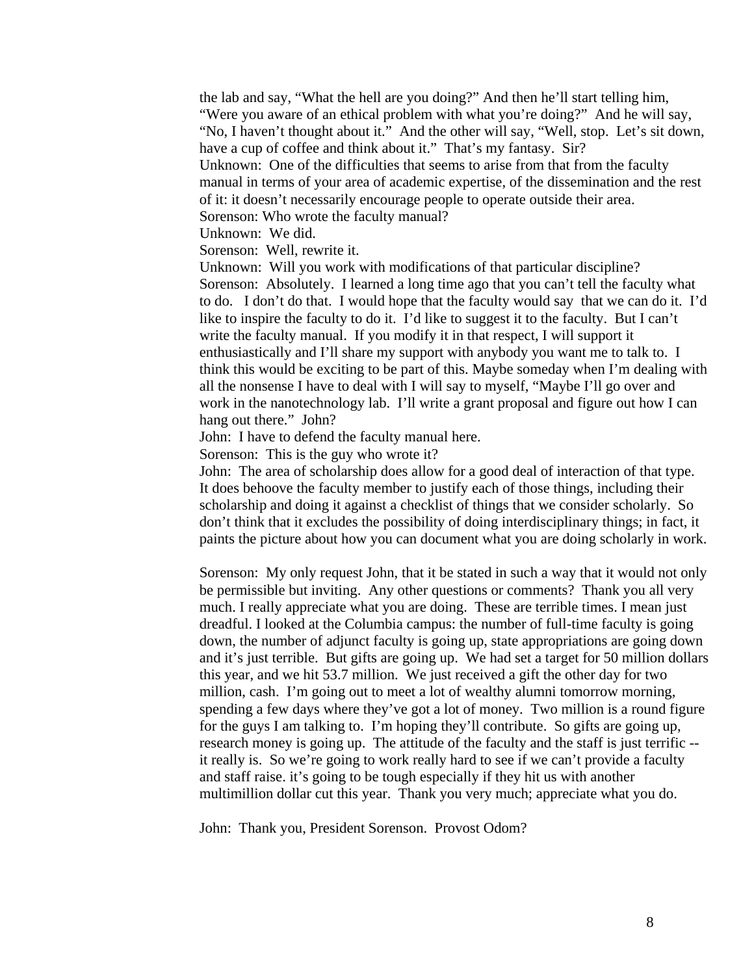the lab and say, "What the hell are you doing?" And then he'll start telling him, "Were you aware of an ethical problem with what you're doing?" And he will say, "No, I haven't thought about it." And the other will say, "Well, stop. Let's sit down, have a cup of coffee and think about it." That's my fantasy. Sir? Unknown: One of the difficulties that seems to arise from that from the faculty manual in terms of your area of academic expertise, of the dissemination and the rest of it: it doesn't necessarily encourage people to operate outside their area. Sorenson: Who wrote the faculty manual?

Unknown: We did.

Sorenson: Well, rewrite it.

Unknown: Will you work with modifications of that particular discipline? Sorenson: Absolutely. I learned a long time ago that you can't tell the faculty what to do. I don't do that. I would hope that the faculty would say that we can do it. I'd like to inspire the faculty to do it. I'd like to suggest it to the faculty. But I can't write the faculty manual. If you modify it in that respect, I will support it enthusiastically and I'll share my support with anybody you want me to talk to. I think this would be exciting to be part of this. Maybe someday when I'm dealing with all the nonsense I have to deal with I will say to myself, "Maybe I'll go over and work in the nanotechnology lab. I'll write a grant proposal and figure out how I can hang out there." John?

John: I have to defend the faculty manual here.

Sorenson: This is the guy who wrote it?

John: The area of scholarship does allow for a good deal of interaction of that type. It does behoove the faculty member to justify each of those things, including their scholarship and doing it against a checklist of things that we consider scholarly. So don't think that it excludes the possibility of doing interdisciplinary things; in fact, it paints the picture about how you can document what you are doing scholarly in work.

Sorenson: My only request John, that it be stated in such a way that it would not only be permissible but inviting. Any other questions or comments? Thank you all very much. I really appreciate what you are doing. These are terrible times. I mean just dreadful. I looked at the Columbia campus: the number of full-time faculty is going down, the number of adjunct faculty is going up, state appropriations are going down and it's just terrible. But gifts are going up. We had set a target for 50 million dollars this year, and we hit 53.7 million. We just received a gift the other day for two million, cash. I'm going out to meet a lot of wealthy alumni tomorrow morning, spending a few days where they've got a lot of money. Two million is a round figure for the guys I am talking to. I'm hoping they'll contribute. So gifts are going up, research money is going up. The attitude of the faculty and the staff is just terrific - it really is. So we're going to work really hard to see if we can't provide a faculty and staff raise. it's going to be tough especially if they hit us with another multimillion dollar cut this year. Thank you very much; appreciate what you do.

John: Thank you, President Sorenson. Provost Odom?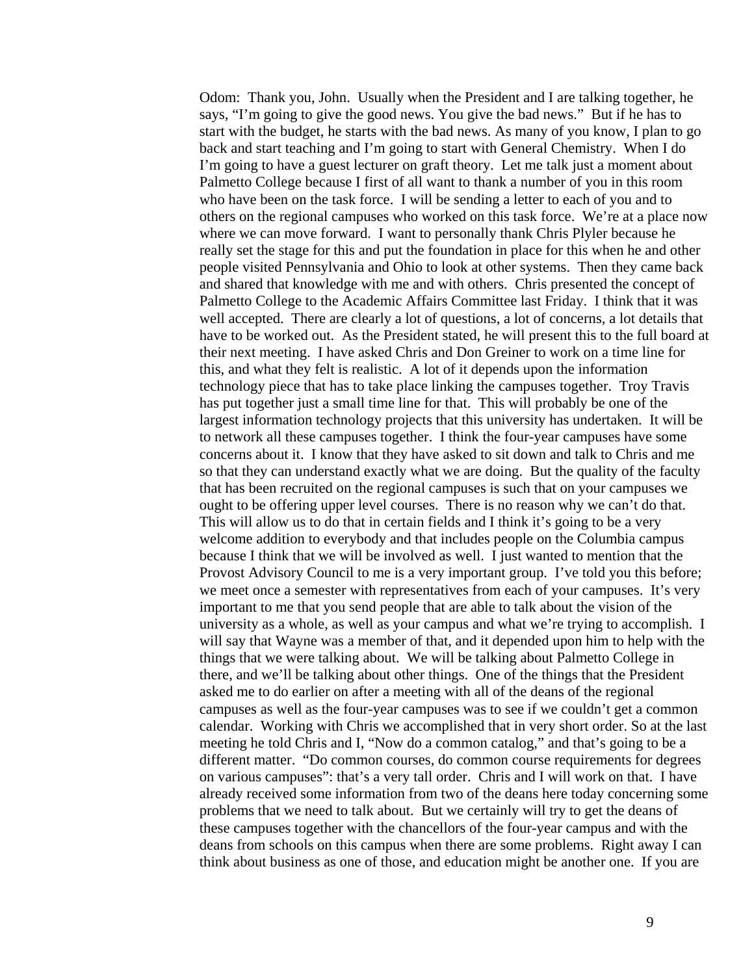Odom: Thank you, John. Usually when the President and I are talking together, he says, "I'm going to give the good news. You give the bad news." But if he has to start with the budget, he starts with the bad news. As many of you know, I plan to go back and start teaching and I'm going to start with General Chemistry. When I do I'm going to have a guest lecturer on graft theory. Let me talk just a moment about Palmetto College because I first of all want to thank a number of you in this room who have been on the task force. I will be sending a letter to each of you and to others on the regional campuses who worked on this task force. We're at a place now where we can move forward. I want to personally thank Chris Plyler because he really set the stage for this and put the foundation in place for this when he and other people visited Pennsylvania and Ohio to look at other systems. Then they came back and shared that knowledge with me and with others. Chris presented the concept of Palmetto College to the Academic Affairs Committee last Friday. I think that it was well accepted. There are clearly a lot of questions, a lot of concerns, a lot details that have to be worked out. As the President stated, he will present this to the full board at their next meeting. I have asked Chris and Don Greiner to work on a time line for this, and what they felt is realistic. A lot of it depends upon the information technology piece that has to take place linking the campuses together. Troy Travis has put together just a small time line for that. This will probably be one of the largest information technology projects that this university has undertaken. It will be to network all these campuses together. I think the four-year campuses have some concerns about it. I know that they have asked to sit down and talk to Chris and me so that they can understand exactly what we are doing. But the quality of the faculty that has been recruited on the regional campuses is such that on your campuses we ought to be offering upper level courses. There is no reason why we can't do that. This will allow us to do that in certain fields and I think it's going to be a very welcome addition to everybody and that includes people on the Columbia campus because I think that we will be involved as well. I just wanted to mention that the Provost Advisory Council to me is a very important group. I've told you this before; we meet once a semester with representatives from each of your campuses. It's very important to me that you send people that are able to talk about the vision of the university as a whole, as well as your campus and what we're trying to accomplish. I will say that Wayne was a member of that, and it depended upon him to help with the things that we were talking about. We will be talking about Palmetto College in there, and we'll be talking about other things. One of the things that the President asked me to do earlier on after a meeting with all of the deans of the regional campuses as well as the four-year campuses was to see if we couldn't get a common calendar. Working with Chris we accomplished that in very short order. So at the last meeting he told Chris and I, "Now do a common catalog," and that's going to be a different matter. "Do common courses, do common course requirements for degrees on various campuses": that's a very tall order. Chris and I will work on that. I have already received some information from two of the deans here today concerning some problems that we need to talk about. But we certainly will try to get the deans of these campuses together with the chancellors of the four-year campus and with the deans from schools on this campus when there are some problems. Right away I can think about business as one of those, and education might be another one. If you are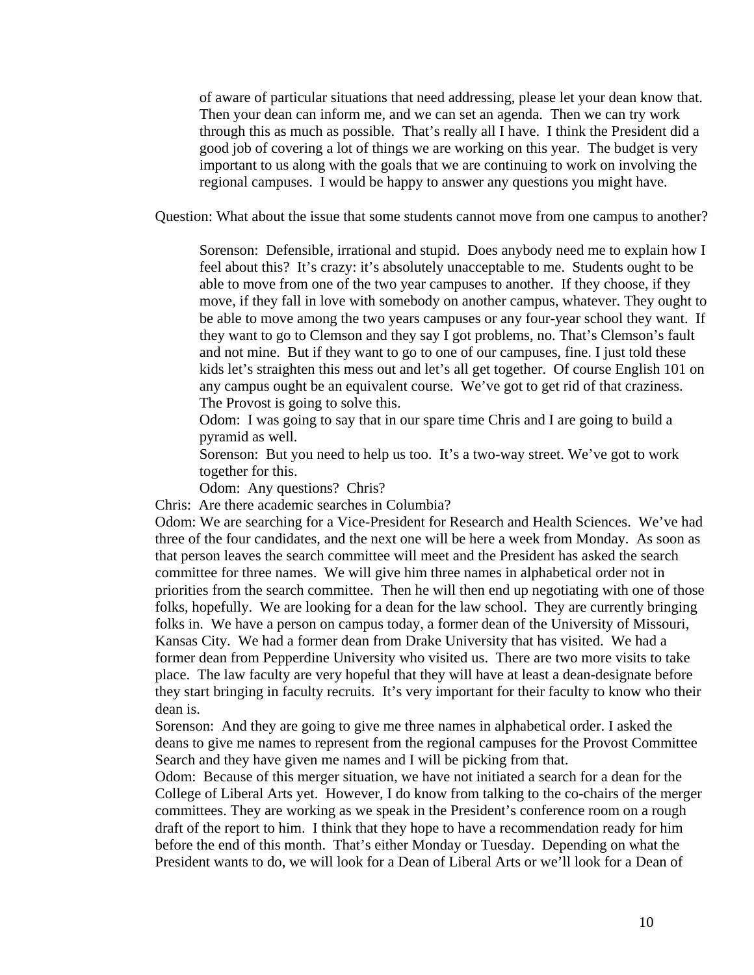of aware of particular situations that need addressing, please let your dean know that. Then your dean can inform me, and we can set an agenda. Then we can try work through this as much as possible. That's really all I have. I think the President did a good job of covering a lot of things we are working on this year. The budget is very important to us along with the goals that we are continuing to work on involving the regional campuses. I would be happy to answer any questions you might have.

Question: What about the issue that some students cannot move from one campus to another?

Sorenson: Defensible, irrational and stupid. Does anybody need me to explain how I feel about this? It's crazy: it's absolutely unacceptable to me. Students ought to be able to move from one of the two year campuses to another. If they choose, if they move, if they fall in love with somebody on another campus, whatever. They ought to be able to move among the two years campuses or any four-year school they want. If they want to go to Clemson and they say I got problems, no. That's Clemson's fault and not mine. But if they want to go to one of our campuses, fine. I just told these kids let's straighten this mess out and let's all get together. Of course English 101 on any campus ought be an equivalent course. We've got to get rid of that craziness. The Provost is going to solve this.

Odom: I was going to say that in our spare time Chris and I are going to build a pyramid as well.

Sorenson: But you need to help us too. It's a two-way street. We've got to work together for this.

Odom: Any questions? Chris?

Chris: Are there academic searches in Columbia?

Odom: We are searching for a Vice-President for Research and Health Sciences. We've had three of the four candidates, and the next one will be here a week from Monday. As soon as that person leaves the search committee will meet and the President has asked the search committee for three names. We will give him three names in alphabetical order not in priorities from the search committee. Then he will then end up negotiating with one of those folks, hopefully. We are looking for a dean for the law school. They are currently bringing folks in. We have a person on campus today, a former dean of the University of Missouri, Kansas City. We had a former dean from Drake University that has visited. We had a former dean from Pepperdine University who visited us. There are two more visits to take place. The law faculty are very hopeful that they will have at least a dean-designate before they start bringing in faculty recruits. It's very important for their faculty to know who their dean is.

Sorenson: And they are going to give me three names in alphabetical order. I asked the deans to give me names to represent from the regional campuses for the Provost Committee Search and they have given me names and I will be picking from that.

Odom: Because of this merger situation, we have not initiated a search for a dean for the College of Liberal Arts yet. However, I do know from talking to the co-chairs of the merger committees. They are working as we speak in the President's conference room on a rough draft of the report to him. I think that they hope to have a recommendation ready for him before the end of this month. That's either Monday or Tuesday. Depending on what the President wants to do, we will look for a Dean of Liberal Arts or we'll look for a Dean of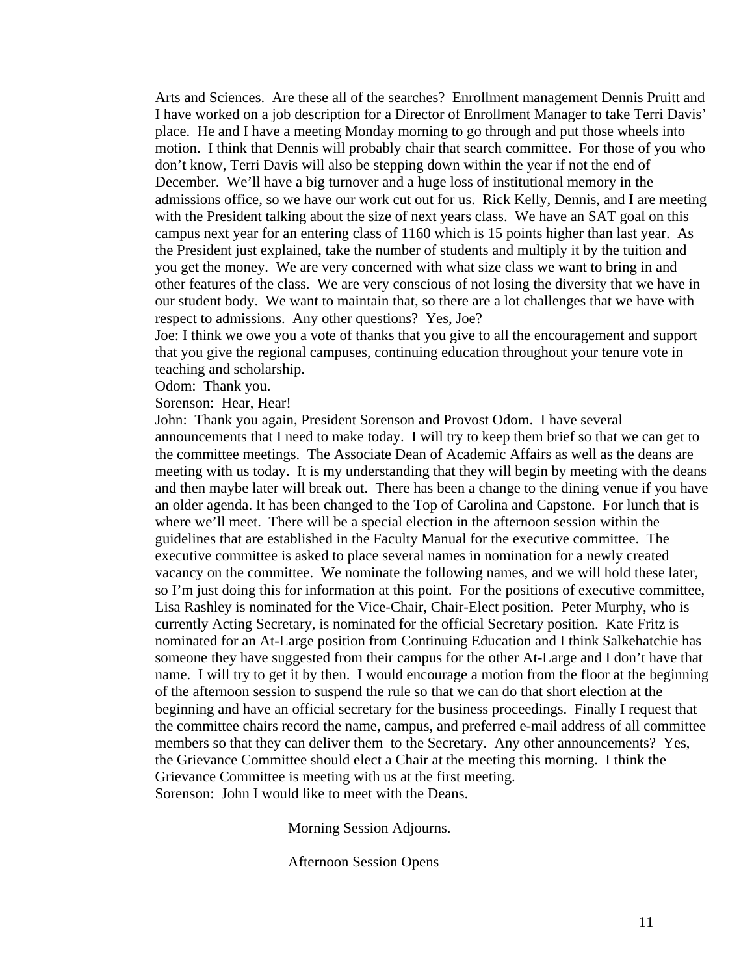Arts and Sciences. Are these all of the searches? Enrollment management Dennis Pruitt and I have worked on a job description for a Director of Enrollment Manager to take Terri Davis' place. He and I have a meeting Monday morning to go through and put those wheels into motion. I think that Dennis will probably chair that search committee. For those of you who don't know, Terri Davis will also be stepping down within the year if not the end of December. We'll have a big turnover and a huge loss of institutional memory in the admissions office, so we have our work cut out for us. Rick Kelly, Dennis, and I are meeting with the President talking about the size of next years class. We have an SAT goal on this campus next year for an entering class of 1160 which is 15 points higher than last year. As the President just explained, take the number of students and multiply it by the tuition and you get the money. We are very concerned with what size class we want to bring in and other features of the class. We are very conscious of not losing the diversity that we have in our student body. We want to maintain that, so there are a lot challenges that we have with respect to admissions. Any other questions? Yes, Joe?

Joe: I think we owe you a vote of thanks that you give to all the encouragement and support that you give the regional campuses, continuing education throughout your tenure vote in teaching and scholarship.

Odom: Thank you.

Sorenson: Hear, Hear!

John: Thank you again, President Sorenson and Provost Odom. I have several announcements that I need to make today. I will try to keep them brief so that we can get to the committee meetings. The Associate Dean of Academic Affairs as well as the deans are meeting with us today. It is my understanding that they will begin by meeting with the deans and then maybe later will break out. There has been a change to the dining venue if you have an older agenda. It has been changed to the Top of Carolina and Capstone. For lunch that is where we'll meet. There will be a special election in the afternoon session within the guidelines that are established in the Faculty Manual for the executive committee. The executive committee is asked to place several names in nomination for a newly created vacancy on the committee. We nominate the following names, and we will hold these later, so I'm just doing this for information at this point. For the positions of executive committee, Lisa Rashley is nominated for the Vice-Chair, Chair-Elect position. Peter Murphy, who is currently Acting Secretary, is nominated for the official Secretary position. Kate Fritz is nominated for an At-Large position from Continuing Education and I think Salkehatchie has someone they have suggested from their campus for the other At-Large and I don't have that name. I will try to get it by then. I would encourage a motion from the floor at the beginning of the afternoon session to suspend the rule so that we can do that short election at the beginning and have an official secretary for the business proceedings. Finally I request that the committee chairs record the name, campus, and preferred e-mail address of all committee members so that they can deliver them to the Secretary. Any other announcements? Yes, the Grievance Committee should elect a Chair at the meeting this morning. I think the Grievance Committee is meeting with us at the first meeting. Sorenson: John I would like to meet with the Deans.

Morning Session Adjourns.

Afternoon Session Opens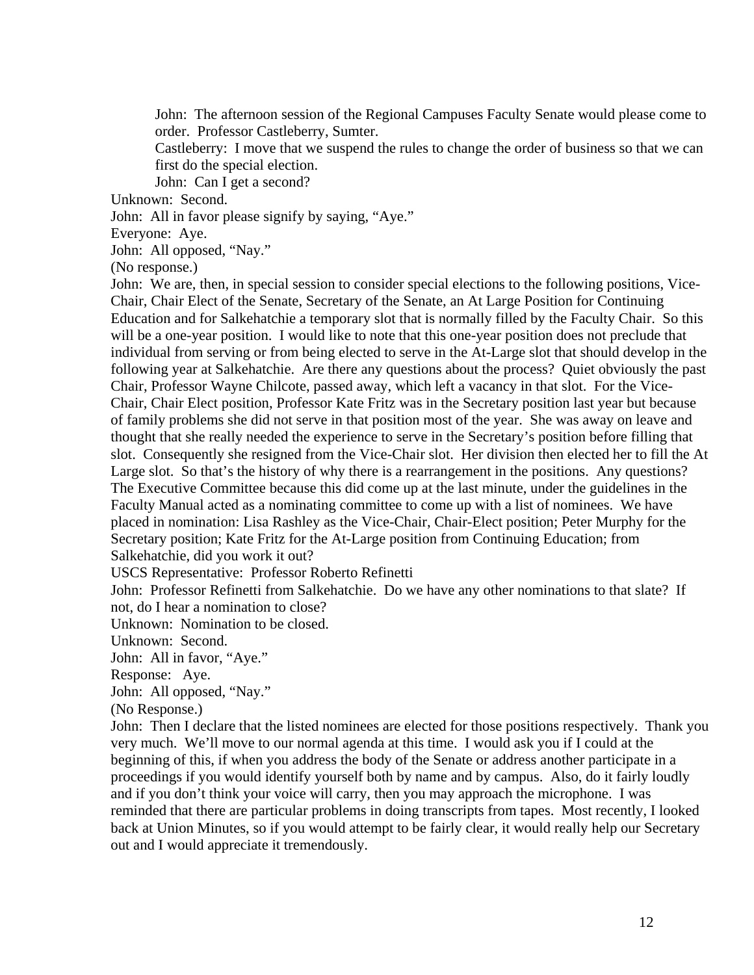John: The afternoon session of the Regional Campuses Faculty Senate would please come to order. Professor Castleberry, Sumter.

Castleberry: I move that we suspend the rules to change the order of business so that we can first do the special election.

John: Can I get a second?

Unknown: Second.

John: All in favor please signify by saying, "Aye."

Everyone: Aye.

John: All opposed, "Nay."

(No response.)

John: We are, then, in special session to consider special elections to the following positions, Vice-Chair, Chair Elect of the Senate, Secretary of the Senate, an At Large Position for Continuing Education and for Salkehatchie a temporary slot that is normally filled by the Faculty Chair. So this will be a one-year position. I would like to note that this one-year position does not preclude that individual from serving or from being elected to serve in the At-Large slot that should develop in the following year at Salkehatchie. Are there any questions about the process? Quiet obviously the past Chair, Professor Wayne Chilcote, passed away, which left a vacancy in that slot. For the Vice-Chair, Chair Elect position, Professor Kate Fritz was in the Secretary position last year but because of family problems she did not serve in that position most of the year. She was away on leave and thought that she really needed the experience to serve in the Secretary's position before filling that slot. Consequently she resigned from the Vice-Chair slot. Her division then elected her to fill the At Large slot. So that's the history of why there is a rearrangement in the positions. Any questions? The Executive Committee because this did come up at the last minute, under the guidelines in the Faculty Manual acted as a nominating committee to come up with a list of nominees. We have placed in nomination: Lisa Rashley as the Vice-Chair, Chair-Elect position; Peter Murphy for the Secretary position; Kate Fritz for the At-Large position from Continuing Education; from Salkehatchie, did you work it out?

USCS Representative: Professor Roberto Refinetti

John: Professor Refinetti from Salkehatchie. Do we have any other nominations to that slate? If not, do I hear a nomination to close?

Unknown: Nomination to be closed.

Unknown: Second.

John: All in favor, "Aye."

Response: Aye.

John: All opposed, "Nay."

(No Response.)

John: Then I declare that the listed nominees are elected for those positions respectively. Thank you very much. We'll move to our normal agenda at this time. I would ask you if I could at the beginning of this, if when you address the body of the Senate or address another participate in a proceedings if you would identify yourself both by name and by campus. Also, do it fairly loudly and if you don't think your voice will carry, then you may approach the microphone. I was reminded that there are particular problems in doing transcripts from tapes. Most recently, I looked back at Union Minutes, so if you would attempt to be fairly clear, it would really help our Secretary out and I would appreciate it tremendously.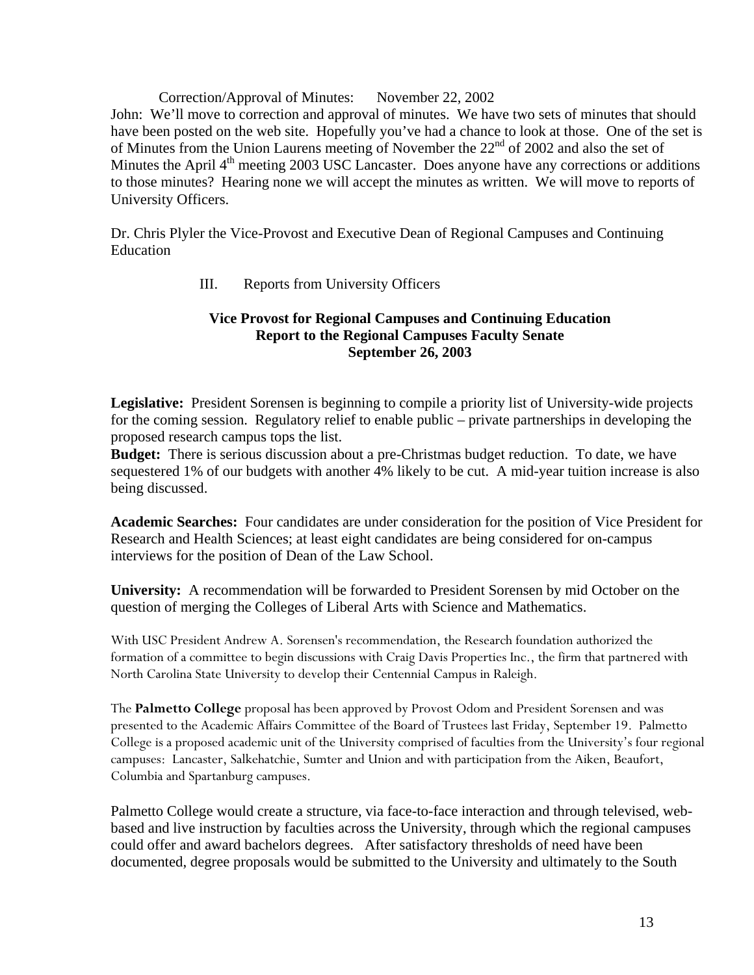Correction/Approval of Minutes: November 22, 2002 John: We'll move to correction and approval of minutes. We have two sets of minutes that should have been posted on the web site. Hopefully you've had a chance to look at those. One of the set is of Minutes from the Union Laurens meeting of November the 22<sup>nd</sup> of 2002 and also the set of Minutes the April  $4<sup>th</sup>$  meeting 2003 USC Lancaster. Does anyone have any corrections or additions to those minutes? Hearing none we will accept the minutes as written. We will move to reports of University Officers.

Dr. Chris Plyler the Vice-Provost and Executive Dean of Regional Campuses and Continuing **Education** 

### III. Reports from University Officers

## **Vice Provost for Regional Campuses and Continuing Education Report to the Regional Campuses Faculty Senate September 26, 2003**

**Legislative:** President Sorensen is beginning to compile a priority list of University-wide projects for the coming session. Regulatory relief to enable public – private partnerships in developing the proposed research campus tops the list.

**Budget:** There is serious discussion about a pre-Christmas budget reduction. To date, we have sequestered 1% of our budgets with another 4% likely to be cut. A mid-year tuition increase is also being discussed.

**Academic Searches:** Four candidates are under consideration for the position of Vice President for Research and Health Sciences; at least eight candidates are being considered for on-campus interviews for the position of Dean of the Law School.

**University:** A recommendation will be forwarded to President Sorensen by mid October on the question of merging the Colleges of Liberal Arts with Science and Mathematics.

With USC President Andrew A. Sorensen's recommendation, the Research foundation authorized the formation of a committee to begin discussions with Craig Davis Properties Inc., the firm that partnered with North Carolina State University to develop their Centennial Campus in Raleigh.

The **Palmetto College** proposal has been approved by Provost Odom and President Sorensen and was presented to the Academic Affairs Committee of the Board of Trustees last Friday, September 19. Palmetto College is a proposed academic unit of the University comprised of faculties from the University's four regional campuses: Lancaster, Salkehatchie, Sumter and Union and with participation from the Aiken, Beaufort, Columbia and Spartanburg campuses.

Palmetto College would create a structure, via face-to-face interaction and through televised, webbased and live instruction by faculties across the University, through which the regional campuses could offer and award bachelors degrees. After satisfactory thresholds of need have been documented, degree proposals would be submitted to the University and ultimately to the South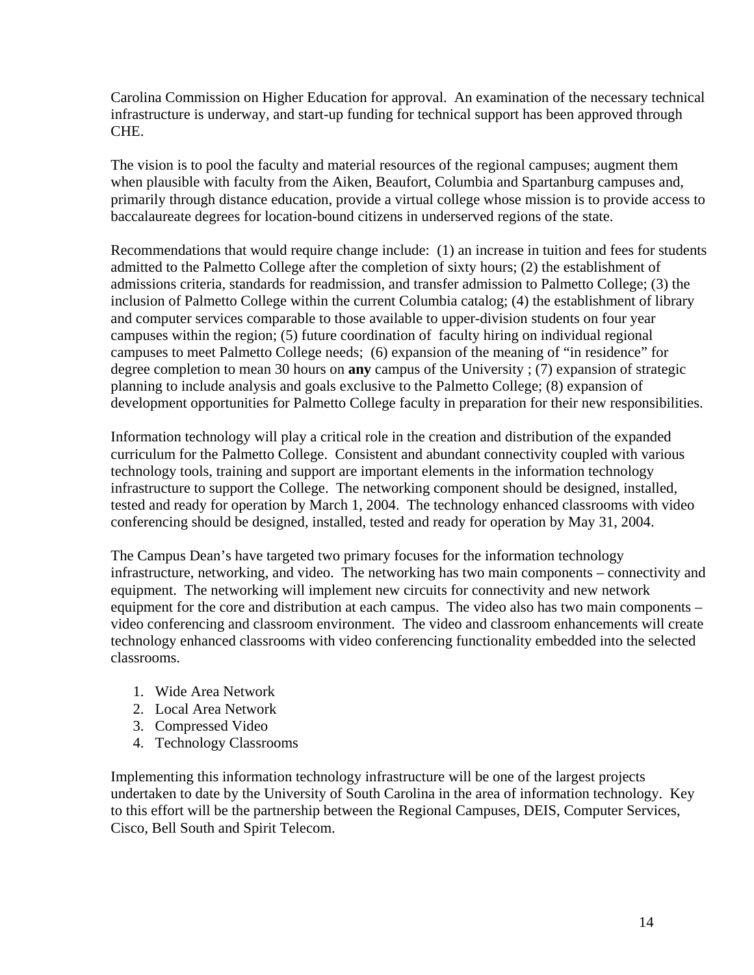Carolina Commission on Higher Education for approval. An examination of the necessary technical infrastructure is underway, and start-up funding for technical support has been approved through CHE.

The vision is to pool the faculty and material resources of the regional campuses; augment them when plausible with faculty from the Aiken, Beaufort, Columbia and Spartanburg campuses and, primarily through distance education, provide a virtual college whose mission is to provide access to baccalaureate degrees for location-bound citizens in underserved regions of the state.

Recommendations that would require change include: (1) an increase in tuition and fees for students admitted to the Palmetto College after the completion of sixty hours; (2) the establishment of admissions criteria, standards for readmission, and transfer admission to Palmetto College; (3) the inclusion of Palmetto College within the current Columbia catalog; (4) the establishment of library and computer services comparable to those available to upper-division students on four year campuses within the region; (5) future coordination of faculty hiring on individual regional campuses to meet Palmetto College needs; (6) expansion of the meaning of "in residence" for degree completion to mean 30 hours on **any** campus of the University ; (7) expansion of strategic planning to include analysis and goals exclusive to the Palmetto College; (8) expansion of development opportunities for Palmetto College faculty in preparation for their new responsibilities.

Information technology will play a critical role in the creation and distribution of the expanded curriculum for the Palmetto College. Consistent and abundant connectivity coupled with various technology tools, training and support are important elements in the information technology infrastructure to support the College. The networking component should be designed, installed, tested and ready for operation by March 1, 2004. The technology enhanced classrooms with video conferencing should be designed, installed, tested and ready for operation by May 31, 2004.

The Campus Dean's have targeted two primary focuses for the information technology infrastructure, networking, and video. The networking has two main components – connectivity and equipment. The networking will implement new circuits for connectivity and new network equipment for the core and distribution at each campus. The video also has two main components – video conferencing and classroom environment. The video and classroom enhancements will create technology enhanced classrooms with video conferencing functionality embedded into the selected classrooms.

- 1. Wide Area Network
- 2. Local Area Network
- 3. Compressed Video
- 4. Technology Classrooms

Implementing this information technology infrastructure will be one of the largest projects undertaken to date by the University of South Carolina in the area of information technology. Key to this effort will be the partnership between the Regional Campuses, DEIS, Computer Services, Cisco, Bell South and Spirit Telecom.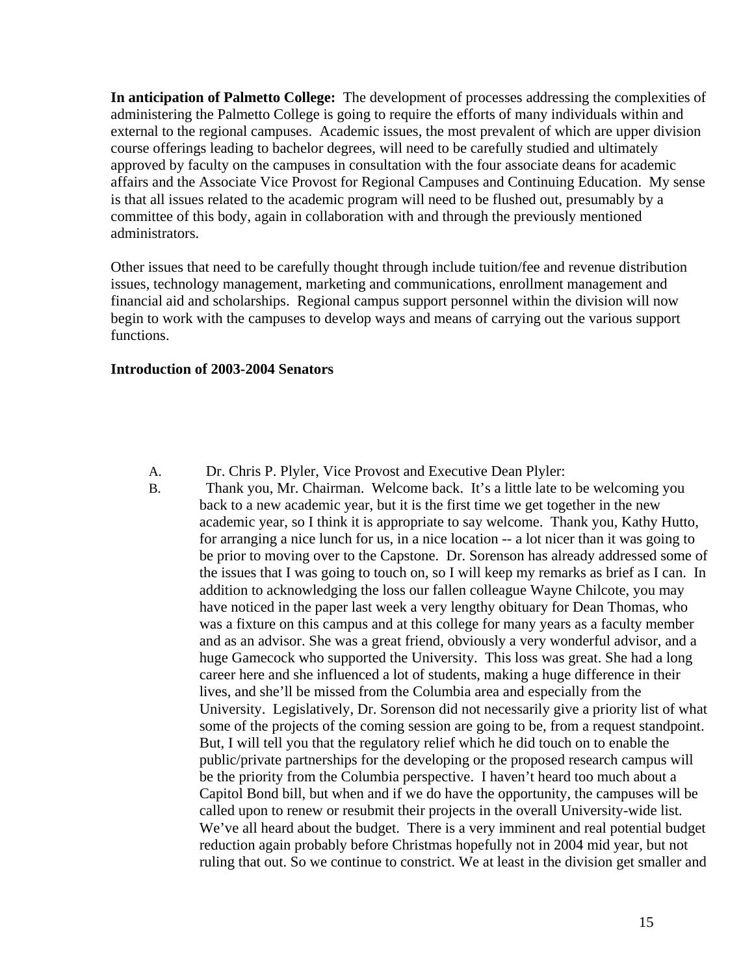**In anticipation of Palmetto College:** The development of processes addressing the complexities of administering the Palmetto College is going to require the efforts of many individuals within and external to the regional campuses. Academic issues, the most prevalent of which are upper division course offerings leading to bachelor degrees, will need to be carefully studied and ultimately approved by faculty on the campuses in consultation with the four associate deans for academic affairs and the Associate Vice Provost for Regional Campuses and Continuing Education. My sense is that all issues related to the academic program will need to be flushed out, presumably by a committee of this body, again in collaboration with and through the previously mentioned administrators.

Other issues that need to be carefully thought through include tuition/fee and revenue distribution issues, technology management, marketing and communications, enrollment management and financial aid and scholarships. Regional campus support personnel within the division will now begin to work with the campuses to develop ways and means of carrying out the various support functions.

#### **Introduction of 2003-2004 Senators**

A. Dr. Chris P. Plyler, Vice Provost and Executive Dean Plyler:

B. Thank you, Mr. Chairman. Welcome back. It's a little late to be welcoming you back to a new academic year, but it is the first time we get together in the new academic year, so I think it is appropriate to say welcome. Thank you, Kathy Hutto, for arranging a nice lunch for us, in a nice location -- a lot nicer than it was going to be prior to moving over to the Capstone. Dr. Sorenson has already addressed some of the issues that I was going to touch on, so I will keep my remarks as brief as I can. In addition to acknowledging the loss our fallen colleague Wayne Chilcote, you may have noticed in the paper last week a very lengthy obituary for Dean Thomas, who was a fixture on this campus and at this college for many years as a faculty member and as an advisor. She was a great friend, obviously a very wonderful advisor, and a huge Gamecock who supported the University. This loss was great. She had a long career here and she influenced a lot of students, making a huge difference in their lives, and she'll be missed from the Columbia area and especially from the University. Legislatively, Dr. Sorenson did not necessarily give a priority list of what some of the projects of the coming session are going to be, from a request standpoint. But, I will tell you that the regulatory relief which he did touch on to enable the public/private partnerships for the developing or the proposed research campus will be the priority from the Columbia perspective. I haven't heard too much about a Capitol Bond bill, but when and if we do have the opportunity, the campuses will be called upon to renew or resubmit their projects in the overall University-wide list. We've all heard about the budget. There is a very imminent and real potential budget reduction again probably before Christmas hopefully not in 2004 mid year, but not ruling that out. So we continue to constrict. We at least in the division get smaller and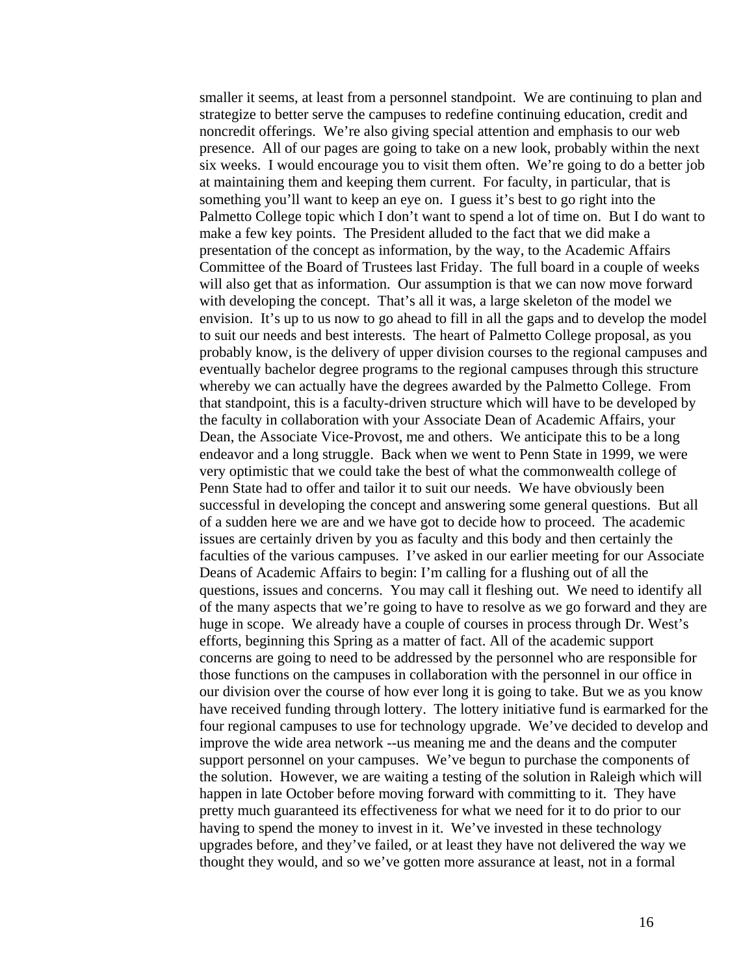smaller it seems, at least from a personnel standpoint. We are continuing to plan and strategize to better serve the campuses to redefine continuing education, credit and noncredit offerings. We're also giving special attention and emphasis to our web presence. All of our pages are going to take on a new look, probably within the next six weeks. I would encourage you to visit them often. We're going to do a better job at maintaining them and keeping them current. For faculty, in particular, that is something you'll want to keep an eye on. I guess it's best to go right into the Palmetto College topic which I don't want to spend a lot of time on. But I do want to make a few key points. The President alluded to the fact that we did make a presentation of the concept as information, by the way, to the Academic Affairs Committee of the Board of Trustees last Friday. The full board in a couple of weeks will also get that as information. Our assumption is that we can now move forward with developing the concept. That's all it was, a large skeleton of the model we envision. It's up to us now to go ahead to fill in all the gaps and to develop the model to suit our needs and best interests. The heart of Palmetto College proposal, as you probably know, is the delivery of upper division courses to the regional campuses and eventually bachelor degree programs to the regional campuses through this structure whereby we can actually have the degrees awarded by the Palmetto College. From that standpoint, this is a faculty-driven structure which will have to be developed by the faculty in collaboration with your Associate Dean of Academic Affairs, your Dean, the Associate Vice-Provost, me and others. We anticipate this to be a long endeavor and a long struggle. Back when we went to Penn State in 1999, we were very optimistic that we could take the best of what the commonwealth college of Penn State had to offer and tailor it to suit our needs. We have obviously been successful in developing the concept and answering some general questions. But all of a sudden here we are and we have got to decide how to proceed. The academic issues are certainly driven by you as faculty and this body and then certainly the faculties of the various campuses. I've asked in our earlier meeting for our Associate Deans of Academic Affairs to begin: I'm calling for a flushing out of all the questions, issues and concerns. You may call it fleshing out. We need to identify all of the many aspects that we're going to have to resolve as we go forward and they are huge in scope. We already have a couple of courses in process through Dr. West's efforts, beginning this Spring as a matter of fact. All of the academic support concerns are going to need to be addressed by the personnel who are responsible for those functions on the campuses in collaboration with the personnel in our office in our division over the course of how ever long it is going to take. But we as you know have received funding through lottery. The lottery initiative fund is earmarked for the four regional campuses to use for technology upgrade. We've decided to develop and improve the wide area network --us meaning me and the deans and the computer support personnel on your campuses. We've begun to purchase the components of the solution. However, we are waiting a testing of the solution in Raleigh which will happen in late October before moving forward with committing to it. They have pretty much guaranteed its effectiveness for what we need for it to do prior to our having to spend the money to invest in it. We've invested in these technology upgrades before, and they've failed, or at least they have not delivered the way we thought they would, and so we've gotten more assurance at least, not in a formal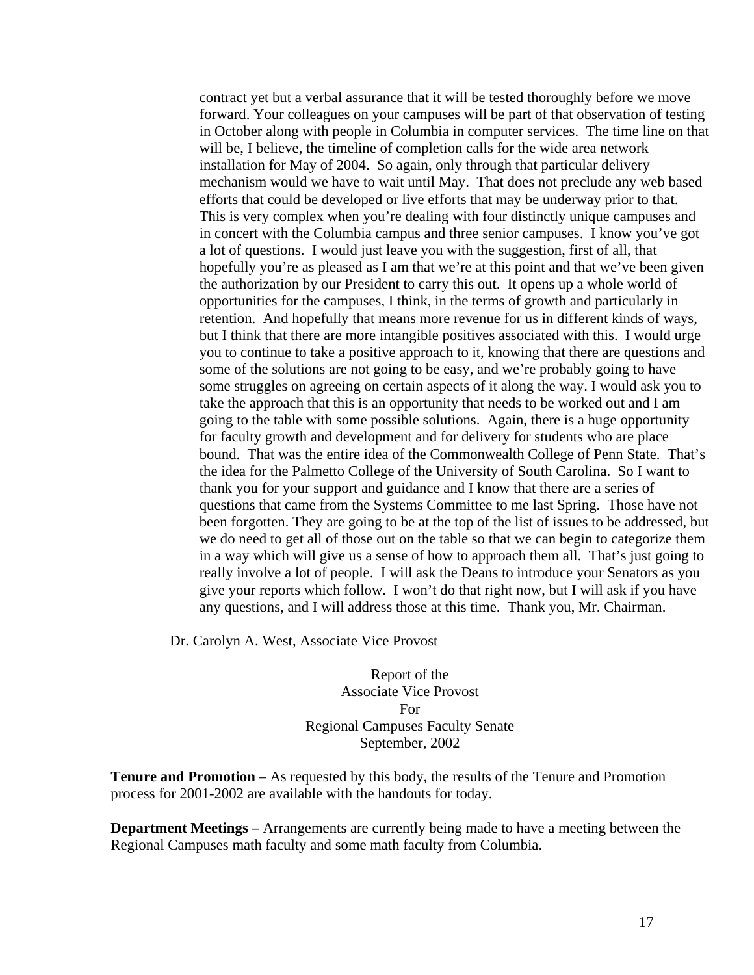contract yet but a verbal assurance that it will be tested thoroughly before we move forward. Your colleagues on your campuses will be part of that observation of testing in October along with people in Columbia in computer services. The time line on that will be, I believe, the timeline of completion calls for the wide area network installation for May of 2004. So again, only through that particular delivery mechanism would we have to wait until May. That does not preclude any web based efforts that could be developed or live efforts that may be underway prior to that. This is very complex when you're dealing with four distinctly unique campuses and in concert with the Columbia campus and three senior campuses. I know you've got a lot of questions. I would just leave you with the suggestion, first of all, that hopefully you're as pleased as I am that we're at this point and that we've been given the authorization by our President to carry this out. It opens up a whole world of opportunities for the campuses, I think, in the terms of growth and particularly in retention. And hopefully that means more revenue for us in different kinds of ways, but I think that there are more intangible positives associated with this. I would urge you to continue to take a positive approach to it, knowing that there are questions and some of the solutions are not going to be easy, and we're probably going to have some struggles on agreeing on certain aspects of it along the way. I would ask you to take the approach that this is an opportunity that needs to be worked out and I am going to the table with some possible solutions. Again, there is a huge opportunity for faculty growth and development and for delivery for students who are place bound. That was the entire idea of the Commonwealth College of Penn State. That's the idea for the Palmetto College of the University of South Carolina. So I want to thank you for your support and guidance and I know that there are a series of questions that came from the Systems Committee to me last Spring. Those have not been forgotten. They are going to be at the top of the list of issues to be addressed, but we do need to get all of those out on the table so that we can begin to categorize them in a way which will give us a sense of how to approach them all. That's just going to really involve a lot of people. I will ask the Deans to introduce your Senators as you give your reports which follow. I won't do that right now, but I will ask if you have any questions, and I will address those at this time. Thank you, Mr. Chairman.

Dr. Carolyn A. West, Associate Vice Provost

Report of the Associate Vice Provost For Regional Campuses Faculty Senate September, 2002

**Tenure and Promotion** – As requested by this body, the results of the Tenure and Promotion process for 2001-2002 are available with the handouts for today.

**Department Meetings –** Arrangements are currently being made to have a meeting between the Regional Campuses math faculty and some math faculty from Columbia.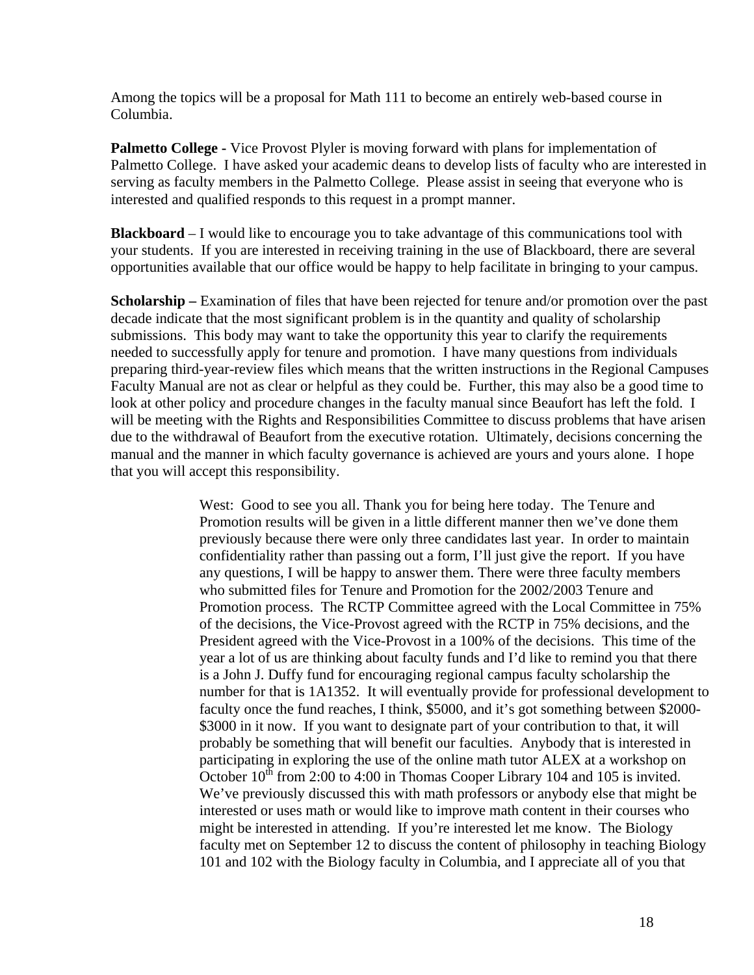Among the topics will be a proposal for Math 111 to become an entirely web-based course in Columbia.

**Palmetto College -** Vice Provost Plyler is moving forward with plans for implementation of Palmetto College. I have asked your academic deans to develop lists of faculty who are interested in serving as faculty members in the Palmetto College. Please assist in seeing that everyone who is interested and qualified responds to this request in a prompt manner.

**Blackboard** – I would like to encourage you to take advantage of this communications tool with your students. If you are interested in receiving training in the use of Blackboard, there are several opportunities available that our office would be happy to help facilitate in bringing to your campus.

**Scholarship –** Examination of files that have been rejected for tenure and/or promotion over the past decade indicate that the most significant problem is in the quantity and quality of scholarship submissions. This body may want to take the opportunity this year to clarify the requirements needed to successfully apply for tenure and promotion. I have many questions from individuals preparing third-year-review files which means that the written instructions in the Regional Campuses Faculty Manual are not as clear or helpful as they could be. Further, this may also be a good time to look at other policy and procedure changes in the faculty manual since Beaufort has left the fold. I will be meeting with the Rights and Responsibilities Committee to discuss problems that have arisen due to the withdrawal of Beaufort from the executive rotation. Ultimately, decisions concerning the manual and the manner in which faculty governance is achieved are yours and yours alone. I hope that you will accept this responsibility.

> West: Good to see you all. Thank you for being here today. The Tenure and Promotion results will be given in a little different manner then we've done them previously because there were only three candidates last year. In order to maintain confidentiality rather than passing out a form, I'll just give the report. If you have any questions, I will be happy to answer them. There were three faculty members who submitted files for Tenure and Promotion for the 2002/2003 Tenure and Promotion process. The RCTP Committee agreed with the Local Committee in 75% of the decisions, the Vice-Provost agreed with the RCTP in 75% decisions, and the President agreed with the Vice-Provost in a 100% of the decisions. This time of the year a lot of us are thinking about faculty funds and I'd like to remind you that there is a John J. Duffy fund for encouraging regional campus faculty scholarship the number for that is 1A1352. It will eventually provide for professional development to faculty once the fund reaches, I think, \$5000, and it's got something between \$2000- \$3000 in it now. If you want to designate part of your contribution to that, it will probably be something that will benefit our faculties. Anybody that is interested in participating in exploring the use of the online math tutor ALEX at a workshop on October  $10<sup>th</sup>$  from 2:00 to 4:00 in Thomas Cooper Library 104 and 105 is invited. We've previously discussed this with math professors or anybody else that might be interested or uses math or would like to improve math content in their courses who might be interested in attending. If you're interested let me know. The Biology faculty met on September 12 to discuss the content of philosophy in teaching Biology 101 and 102 with the Biology faculty in Columbia, and I appreciate all of you that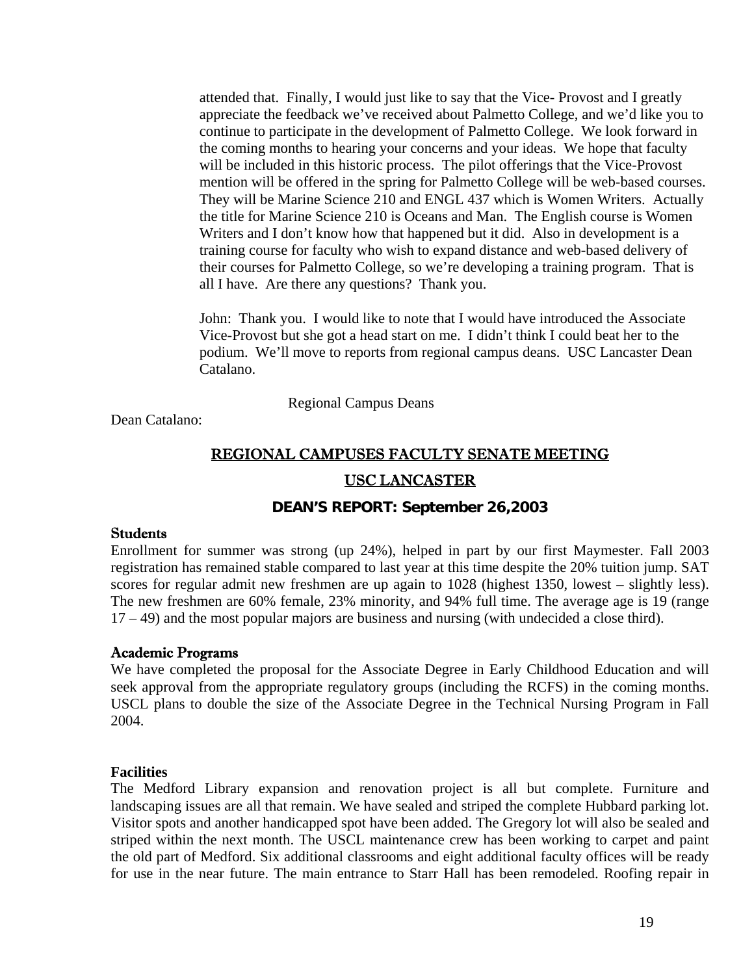attended that. Finally, I would just like to say that the Vice- Provost and I greatly appreciate the feedback we've received about Palmetto College, and we'd like you to continue to participate in the development of Palmetto College. We look forward in the coming months to hearing your concerns and your ideas. We hope that faculty will be included in this historic process. The pilot offerings that the Vice-Provost mention will be offered in the spring for Palmetto College will be web-based courses. They will be Marine Science 210 and ENGL 437 which is Women Writers. Actually the title for Marine Science 210 is Oceans and Man. The English course is Women Writers and I don't know how that happened but it did. Also in development is a training course for faculty who wish to expand distance and web-based delivery of their courses for Palmetto College, so we're developing a training program. That is all I have. Are there any questions? Thank you.

John: Thank you. I would like to note that I would have introduced the Associate Vice-Provost but she got a head start on me. I didn't think I could beat her to the podium. We'll move to reports from regional campus deans. USC Lancaster Dean Catalano.

Regional Campus Deans

Dean Catalano:

# REGIONAL CAMPUSES FACULTY SENATE MEETING USC LANCASTER

## **DEAN'S REPORT: September 26,2003**

#### Students

Enrollment for summer was strong (up 24%), helped in part by our first Maymester. Fall 2003 registration has remained stable compared to last year at this time despite the 20% tuition jump. SAT scores for regular admit new freshmen are up again to 1028 (highest 1350, lowest – slightly less). The new freshmen are 60% female, 23% minority, and 94% full time. The average age is 19 (range 17 – 49) and the most popular majors are business and nursing (with undecided a close third).

### Academic Programs

We have completed the proposal for the Associate Degree in Early Childhood Education and will seek approval from the appropriate regulatory groups (including the RCFS) in the coming months. USCL plans to double the size of the Associate Degree in the Technical Nursing Program in Fall 2004.

### **Facilities**

The Medford Library expansion and renovation project is all but complete. Furniture and landscaping issues are all that remain. We have sealed and striped the complete Hubbard parking lot. Visitor spots and another handicapped spot have been added. The Gregory lot will also be sealed and striped within the next month. The USCL maintenance crew has been working to carpet and paint the old part of Medford. Six additional classrooms and eight additional faculty offices will be ready for use in the near future. The main entrance to Starr Hall has been remodeled. Roofing repair in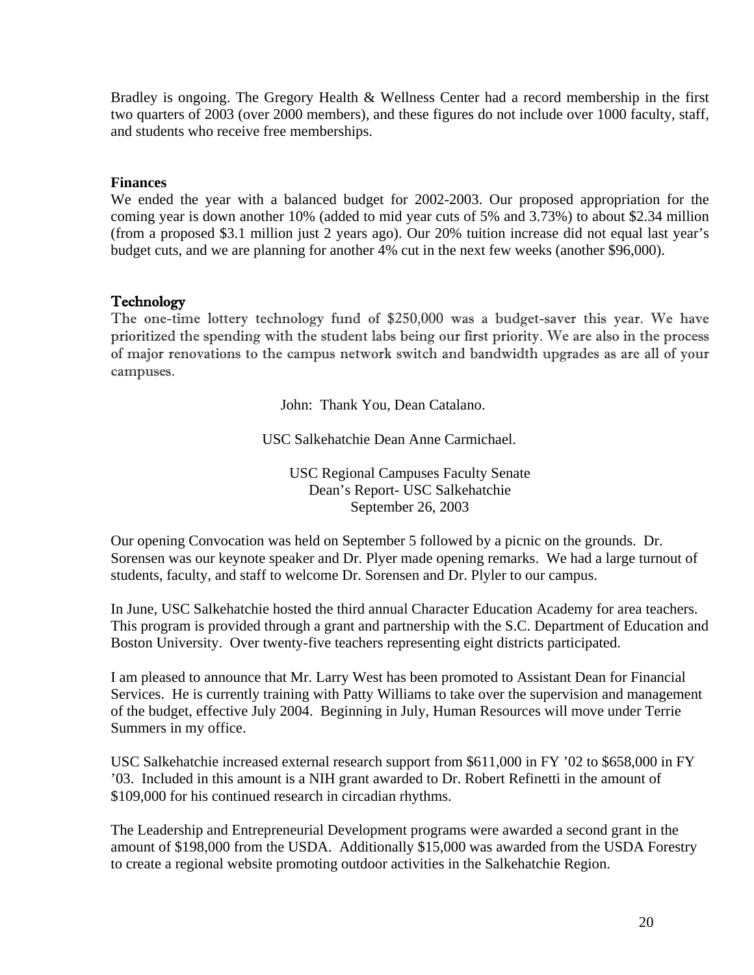Bradley is ongoing. The Gregory Health & Wellness Center had a record membership in the first two quarters of 2003 (over 2000 members), and these figures do not include over 1000 faculty, staff, and students who receive free memberships.

## **Finances**

We ended the year with a balanced budget for 2002-2003. Our proposed appropriation for the coming year is down another 10% (added to mid year cuts of 5% and 3.73%) to about \$2.34 million (from a proposed \$3.1 million just 2 years ago). Our 20% tuition increase did not equal last year's budget cuts, and we are planning for another 4% cut in the next few weeks (another \$96,000).

# Technology

The one-time lottery technology fund of \$250,000 was a budget-saver this year. We have prioritized the spending with the student labs being our first priority. We are also in the process of major renovations to the campus network switch and bandwidth upgrades as are all of your campuses.

John: Thank You, Dean Catalano.

USC Salkehatchie Dean Anne Carmichael.

USC Regional Campuses Faculty Senate Dean's Report- USC Salkehatchie September 26, 2003

Our opening Convocation was held on September 5 followed by a picnic on the grounds. Dr. Sorensen was our keynote speaker and Dr. Plyer made opening remarks. We had a large turnout of students, faculty, and staff to welcome Dr. Sorensen and Dr. Plyler to our campus.

In June, USC Salkehatchie hosted the third annual Character Education Academy for area teachers. This program is provided through a grant and partnership with the S.C. Department of Education and Boston University. Over twenty-five teachers representing eight districts participated.

I am pleased to announce that Mr. Larry West has been promoted to Assistant Dean for Financial Services. He is currently training with Patty Williams to take over the supervision and management of the budget, effective July 2004. Beginning in July, Human Resources will move under Terrie Summers in my office.

USC Salkehatchie increased external research support from \$611,000 in FY '02 to \$658,000 in FY '03. Included in this amount is a NIH grant awarded to Dr. Robert Refinetti in the amount of \$109,000 for his continued research in circadian rhythms.

The Leadership and Entrepreneurial Development programs were awarded a second grant in the amount of \$198,000 from the USDA. Additionally \$15,000 was awarded from the USDA Forestry to create a regional website promoting outdoor activities in the Salkehatchie Region.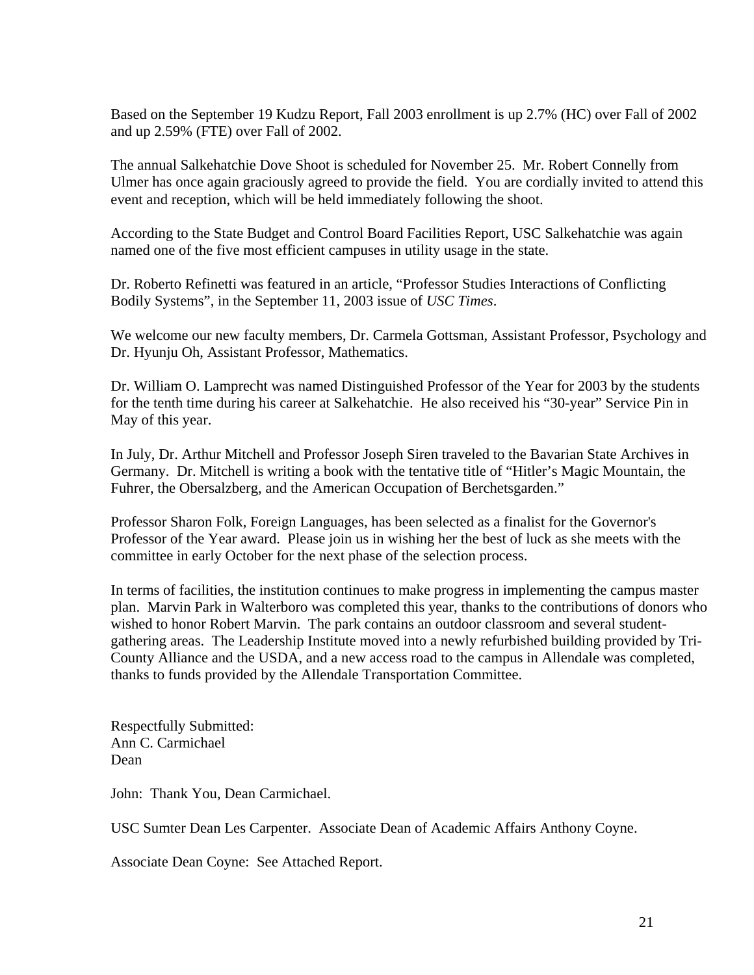Based on the September 19 Kudzu Report, Fall 2003 enrollment is up 2.7% (HC) over Fall of 2002 and up 2.59% (FTE) over Fall of 2002.

The annual Salkehatchie Dove Shoot is scheduled for November 25. Mr. Robert Connelly from Ulmer has once again graciously agreed to provide the field. You are cordially invited to attend this event and reception, which will be held immediately following the shoot.

According to the State Budget and Control Board Facilities Report, USC Salkehatchie was again named one of the five most efficient campuses in utility usage in the state.

Dr. Roberto Refinetti was featured in an article, "Professor Studies Interactions of Conflicting Bodily Systems", in the September 11, 2003 issue of *USC Times*.

We welcome our new faculty members, Dr. Carmela Gottsman, Assistant Professor, Psychology and Dr. Hyunju Oh, Assistant Professor, Mathematics.

Dr. William O. Lamprecht was named Distinguished Professor of the Year for 2003 by the students for the tenth time during his career at Salkehatchie. He also received his "30-year" Service Pin in May of this year.

In July, Dr. Arthur Mitchell and Professor Joseph Siren traveled to the Bavarian State Archives in Germany. Dr. Mitchell is writing a book with the tentative title of "Hitler's Magic Mountain, the Fuhrer, the Obersalzberg, and the American Occupation of Berchetsgarden."

Professor Sharon Folk, Foreign Languages, has been selected as a finalist for the Governor's Professor of the Year award. Please join us in wishing her the best of luck as she meets with the committee in early October for the next phase of the selection process.

In terms of facilities, the institution continues to make progress in implementing the campus master plan. Marvin Park in Walterboro was completed this year, thanks to the contributions of donors who wished to honor Robert Marvin. The park contains an outdoor classroom and several studentgathering areas. The Leadership Institute moved into a newly refurbished building provided by Tri-County Alliance and the USDA, and a new access road to the campus in Allendale was completed, thanks to funds provided by the Allendale Transportation Committee.

Respectfully Submitted: Ann C. Carmichael Dean

John: Thank You, Dean Carmichael.

USC Sumter Dean Les Carpenter. Associate Dean of Academic Affairs Anthony Coyne.

Associate Dean Coyne: See Attached Report.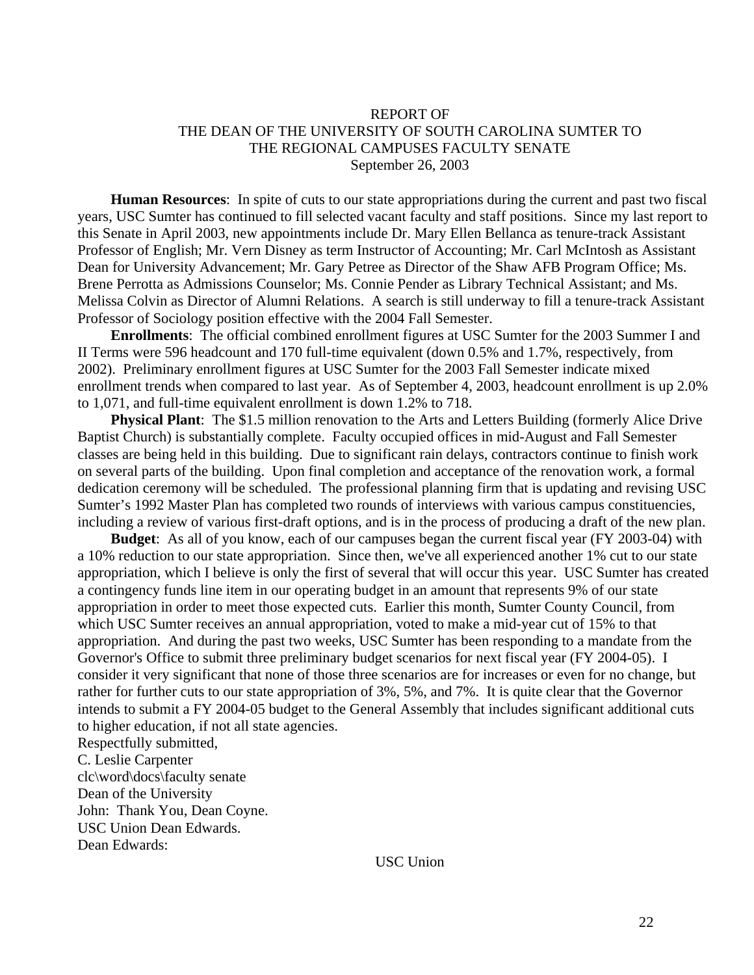## REPORT OF THE DEAN OF THE UNIVERSITY OF SOUTH CAROLINA SUMTER TO THE REGIONAL CAMPUSES FACULTY SENATE September 26, 2003

**Human Resources**: In spite of cuts to our state appropriations during the current and past two fiscal years, USC Sumter has continued to fill selected vacant faculty and staff positions. Since my last report to this Senate in April 2003, new appointments include Dr. Mary Ellen Bellanca as tenure-track Assistant Professor of English; Mr. Vern Disney as term Instructor of Accounting; Mr. Carl McIntosh as Assistant Dean for University Advancement; Mr. Gary Petree as Director of the Shaw AFB Program Office; Ms. Brene Perrotta as Admissions Counselor; Ms. Connie Pender as Library Technical Assistant; and Ms. Melissa Colvin as Director of Alumni Relations. A search is still underway to fill a tenure-track Assistant Professor of Sociology position effective with the 2004 Fall Semester.

**Enrollments**: The official combined enrollment figures at USC Sumter for the 2003 Summer I and II Terms were 596 headcount and 170 full-time equivalent (down 0.5% and 1.7%, respectively, from 2002). Preliminary enrollment figures at USC Sumter for the 2003 Fall Semester indicate mixed enrollment trends when compared to last year. As of September 4, 2003, headcount enrollment is up 2.0% to 1,071, and full-time equivalent enrollment is down 1.2% to 718.

**Physical Plant**: The \$1.5 million renovation to the Arts and Letters Building (formerly Alice Drive Baptist Church) is substantially complete. Faculty occupied offices in mid-August and Fall Semester classes are being held in this building. Due to significant rain delays, contractors continue to finish work on several parts of the building. Upon final completion and acceptance of the renovation work, a formal dedication ceremony will be scheduled. The professional planning firm that is updating and revising USC Sumter's 1992 Master Plan has completed two rounds of interviews with various campus constituencies, including a review of various first-draft options, and is in the process of producing a draft of the new plan.

**Budget**: As all of you know, each of our campuses began the current fiscal year (FY 2003-04) with a 10% reduction to our state appropriation. Since then, we've all experienced another 1% cut to our state appropriation, which I believe is only the first of several that will occur this year. USC Sumter has created a contingency funds line item in our operating budget in an amount that represents 9% of our state appropriation in order to meet those expected cuts. Earlier this month, Sumter County Council, from which USC Sumter receives an annual appropriation, voted to make a mid-year cut of 15% to that appropriation. And during the past two weeks, USC Sumter has been responding to a mandate from the Governor's Office to submit three preliminary budget scenarios for next fiscal year (FY 2004-05). I consider it very significant that none of those three scenarios are for increases or even for no change, but rather for further cuts to our state appropriation of 3%, 5%, and 7%. It is quite clear that the Governor intends to submit a FY 2004-05 budget to the General Assembly that includes significant additional cuts to higher education, if not all state agencies.

Respectfully submitted, C. Leslie Carpenter clc\word\docs\faculty senate Dean of the University John: Thank You, Dean Coyne. USC Union Dean Edwards. Dean Edwards:

USC Union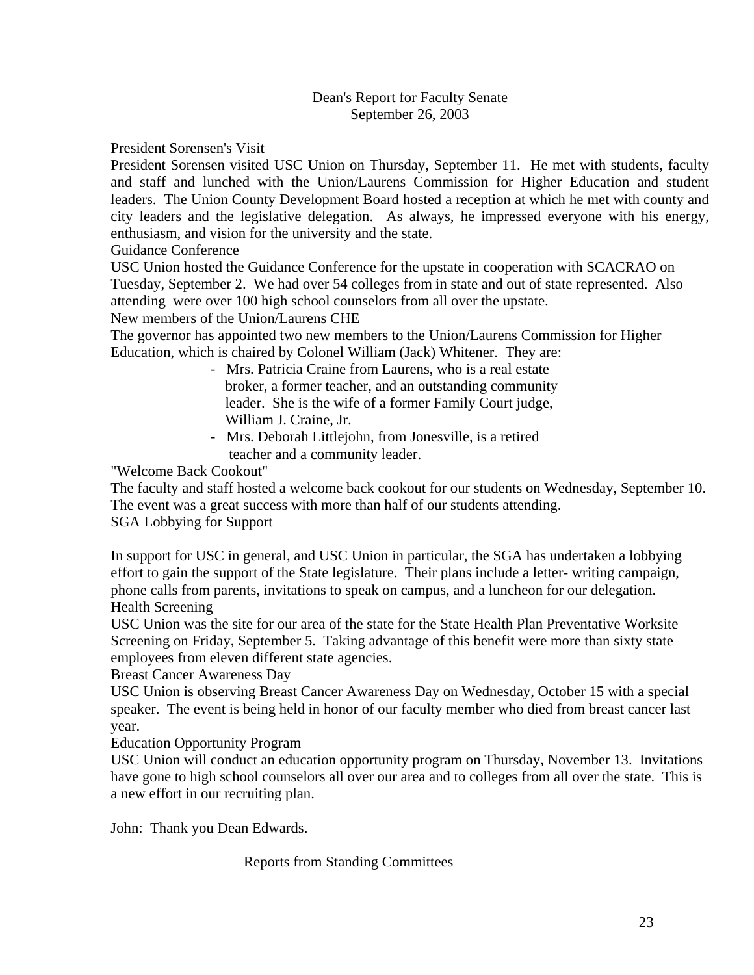## Dean's Report for Faculty Senate September 26, 2003

President Sorensen's Visit

President Sorensen visited USC Union on Thursday, September 11. He met with students, faculty and staff and lunched with the Union/Laurens Commission for Higher Education and student leaders. The Union County Development Board hosted a reception at which he met with county and city leaders and the legislative delegation. As always, he impressed everyone with his energy, enthusiasm, and vision for the university and the state.

Guidance Conference

USC Union hosted the Guidance Conference for the upstate in cooperation with SCACRAO on Tuesday, September 2. We had over 54 colleges from in state and out of state represented. Also attending were over 100 high school counselors from all over the upstate.

New members of the Union/Laurens CHE

The governor has appointed two new members to the Union/Laurens Commission for Higher Education, which is chaired by Colonel William (Jack) Whitener. They are:

- Mrs. Patricia Craine from Laurens, who is a real estate broker, a former teacher, and an outstanding community leader. She is the wife of a former Family Court judge, William J. Craine, Jr.
- Mrs. Deborah Littlejohn, from Jonesville, is a retired teacher and a community leader.

"Welcome Back Cookout"

The faculty and staff hosted a welcome back cookout for our students on Wednesday, September 10. The event was a great success with more than half of our students attending. SGA Lobbying for Support

In support for USC in general, and USC Union in particular, the SGA has undertaken a lobbying effort to gain the support of the State legislature. Their plans include a letter- writing campaign, phone calls from parents, invitations to speak on campus, and a luncheon for our delegation. Health Screening

USC Union was the site for our area of the state for the State Health Plan Preventative Worksite Screening on Friday, September 5. Taking advantage of this benefit were more than sixty state employees from eleven different state agencies.

Breast Cancer Awareness Day

USC Union is observing Breast Cancer Awareness Day on Wednesday, October 15 with a special speaker. The event is being held in honor of our faculty member who died from breast cancer last year.

Education Opportunity Program

USC Union will conduct an education opportunity program on Thursday, November 13. Invitations have gone to high school counselors all over our area and to colleges from all over the state. This is a new effort in our recruiting plan.

John: Thank you Dean Edwards.

### Reports from Standing Committees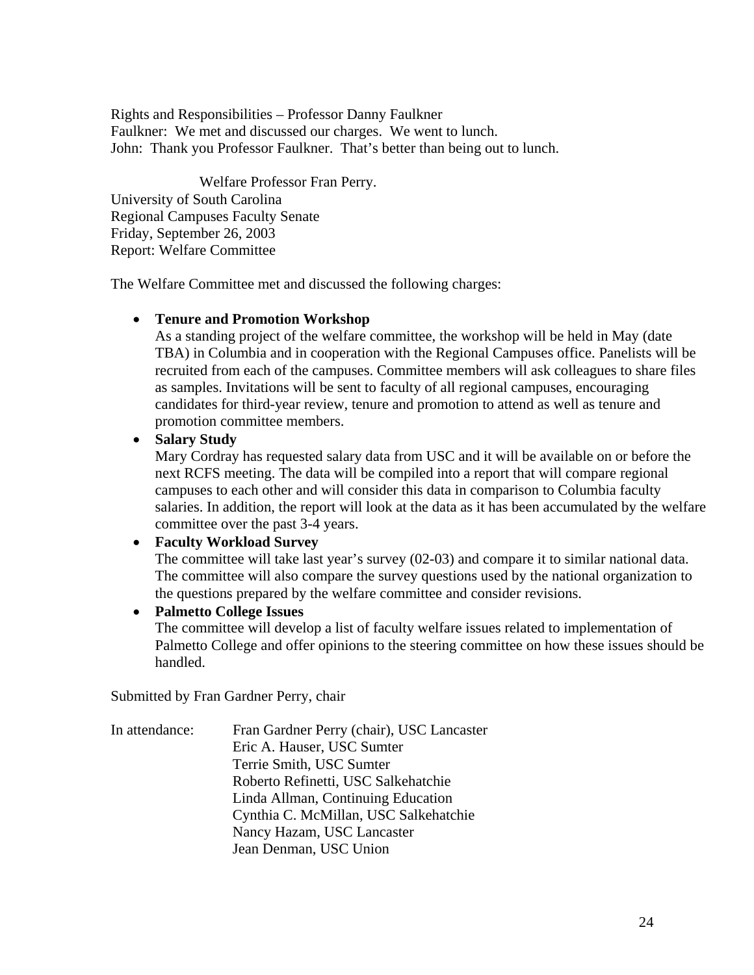Rights and Responsibilities – Professor Danny Faulkner Faulkner: We met and discussed our charges. We went to lunch. John: Thank you Professor Faulkner. That's better than being out to lunch.

Welfare Professor Fran Perry. University of South Carolina Regional Campuses Faculty Senate Friday, September 26, 2003 Report: Welfare Committee

The Welfare Committee met and discussed the following charges:

# • **Tenure and Promotion Workshop**

As a standing project of the welfare committee, the workshop will be held in May (date TBA) in Columbia and in cooperation with the Regional Campuses office. Panelists will be recruited from each of the campuses. Committee members will ask colleagues to share files as samples. Invitations will be sent to faculty of all regional campuses, encouraging candidates for third-year review, tenure and promotion to attend as well as tenure and promotion committee members.

# • **Salary Study**

Mary Cordray has requested salary data from USC and it will be available on or before the next RCFS meeting. The data will be compiled into a report that will compare regional campuses to each other and will consider this data in comparison to Columbia faculty salaries. In addition, the report will look at the data as it has been accumulated by the welfare committee over the past 3-4 years.

# • **Faculty Workload Survey**

The committee will take last year's survey (02-03) and compare it to similar national data. The committee will also compare the survey questions used by the national organization to the questions prepared by the welfare committee and consider revisions.

# • **Palmetto College Issues**

The committee will develop a list of faculty welfare issues related to implementation of Palmetto College and offer opinions to the steering committee on how these issues should be handled.

Submitted by Fran Gardner Perry, chair

In attendance: Fran Gardner Perry (chair), USC Lancaster Eric A. Hauser, USC Sumter Terrie Smith, USC Sumter Roberto Refinetti, USC Salkehatchie Linda Allman, Continuing Education Cynthia C. McMillan, USC Salkehatchie Nancy Hazam, USC Lancaster Jean Denman, USC Union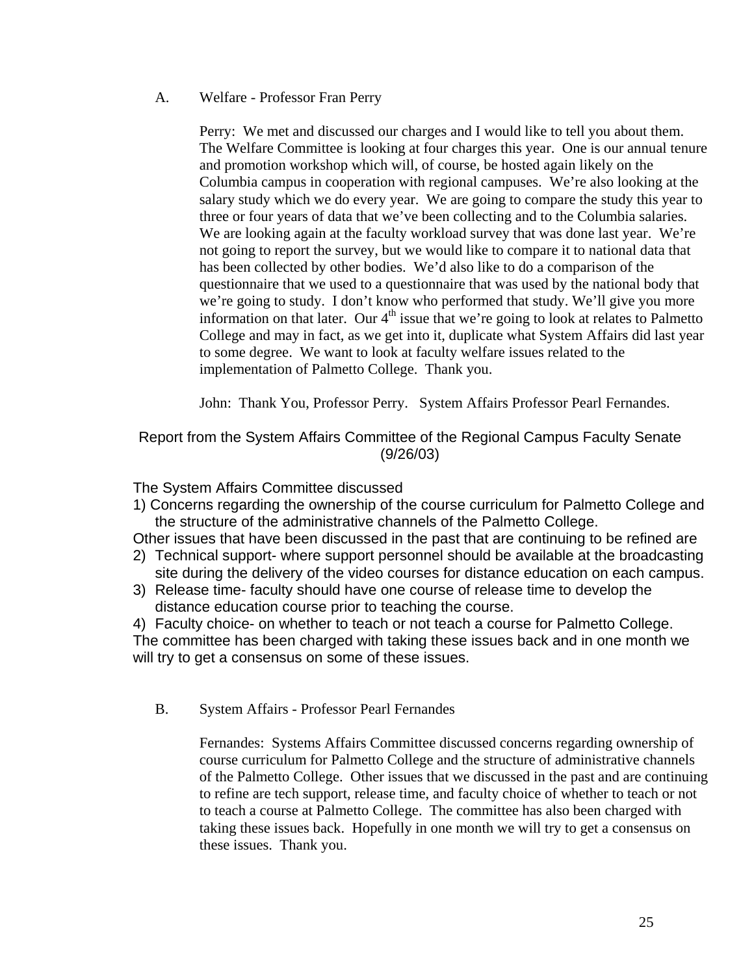A. Welfare - Professor Fran Perry

Perry: We met and discussed our charges and I would like to tell you about them. The Welfare Committee is looking at four charges this year. One is our annual tenure and promotion workshop which will, of course, be hosted again likely on the Columbia campus in cooperation with regional campuses. We're also looking at the salary study which we do every year. We are going to compare the study this year to three or four years of data that we've been collecting and to the Columbia salaries. We are looking again at the faculty workload survey that was done last year. We're not going to report the survey, but we would like to compare it to national data that has been collected by other bodies. We'd also like to do a comparison of the questionnaire that we used to a questionnaire that was used by the national body that we're going to study. I don't know who performed that study. We'll give you more information on that later. Our  $4<sup>th</sup>$  issue that we're going to look at relates to Palmetto College and may in fact, as we get into it, duplicate what System Affairs did last year to some degree. We want to look at faculty welfare issues related to the implementation of Palmetto College. Thank you.

John: Thank You, Professor Perry. System Affairs Professor Pearl Fernandes.

# Report from the System Affairs Committee of the Regional Campus Faculty Senate (9/26/03)

The System Affairs Committee discussed

- 1) Concerns regarding the ownership of the course curriculum for Palmetto College and the structure of the administrative channels of the Palmetto College.
- Other issues that have been discussed in the past that are continuing to be refined are
- 2) Technical support- where support personnel should be available at the broadcasting site during the delivery of the video courses for distance education on each campus.
- 3) Release time- faculty should have one course of release time to develop the distance education course prior to teaching the course.

4) Faculty choice- on whether to teach or not teach a course for Palmetto College. The committee has been charged with taking these issues back and in one month we will try to get a consensus on some of these issues.

B. System Affairs - Professor Pearl Fernandes

Fernandes: Systems Affairs Committee discussed concerns regarding ownership of course curriculum for Palmetto College and the structure of administrative channels of the Palmetto College. Other issues that we discussed in the past and are continuing to refine are tech support, release time, and faculty choice of whether to teach or not to teach a course at Palmetto College. The committee has also been charged with taking these issues back. Hopefully in one month we will try to get a consensus on these issues. Thank you.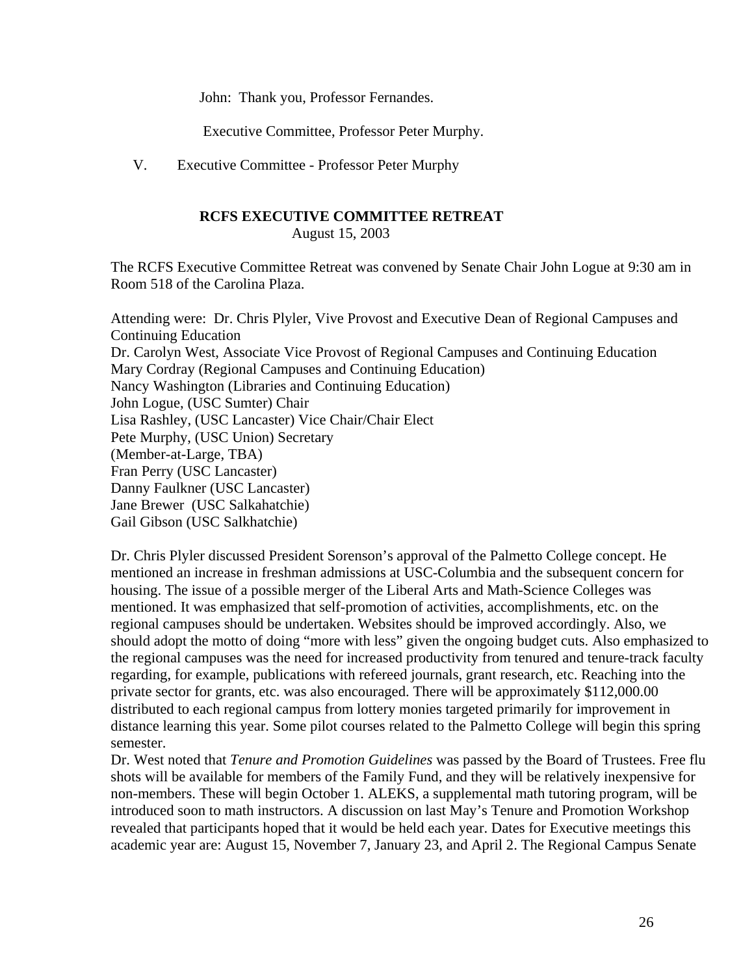John: Thank you, Professor Fernandes.

Executive Committee, Professor Peter Murphy.

V. Executive Committee - Professor Peter Murphy

## **RCFS EXECUTIVE COMMITTEE RETREAT**

August 15, 2003

The RCFS Executive Committee Retreat was convened by Senate Chair John Logue at 9:30 am in Room 518 of the Carolina Plaza.

Attending were: Dr. Chris Plyler, Vive Provost and Executive Dean of Regional Campuses and Continuing Education Dr. Carolyn West, Associate Vice Provost of Regional Campuses and Continuing Education Mary Cordray (Regional Campuses and Continuing Education) Nancy Washington (Libraries and Continuing Education) John Logue, (USC Sumter) Chair Lisa Rashley, (USC Lancaster) Vice Chair/Chair Elect Pete Murphy, (USC Union) Secretary (Member-at-Large, TBA) Fran Perry (USC Lancaster) Danny Faulkner (USC Lancaster) Jane Brewer (USC Salkahatchie) Gail Gibson (USC Salkhatchie)

Dr. Chris Plyler discussed President Sorenson's approval of the Palmetto College concept. He mentioned an increase in freshman admissions at USC-Columbia and the subsequent concern for housing. The issue of a possible merger of the Liberal Arts and Math-Science Colleges was mentioned. It was emphasized that self-promotion of activities, accomplishments, etc. on the regional campuses should be undertaken. Websites should be improved accordingly. Also, we should adopt the motto of doing "more with less" given the ongoing budget cuts. Also emphasized to the regional campuses was the need for increased productivity from tenured and tenure-track faculty regarding, for example, publications with refereed journals, grant research, etc. Reaching into the private sector for grants, etc. was also encouraged. There will be approximately \$112,000.00 distributed to each regional campus from lottery monies targeted primarily for improvement in distance learning this year. Some pilot courses related to the Palmetto College will begin this spring semester.

Dr. West noted that *Tenure and Promotion Guidelines* was passed by the Board of Trustees. Free flu shots will be available for members of the Family Fund, and they will be relatively inexpensive for non-members. These will begin October 1. ALEKS, a supplemental math tutoring program, will be introduced soon to math instructors. A discussion on last May's Tenure and Promotion Workshop revealed that participants hoped that it would be held each year. Dates for Executive meetings this academic year are: August 15, November 7, January 23, and April 2. The Regional Campus Senate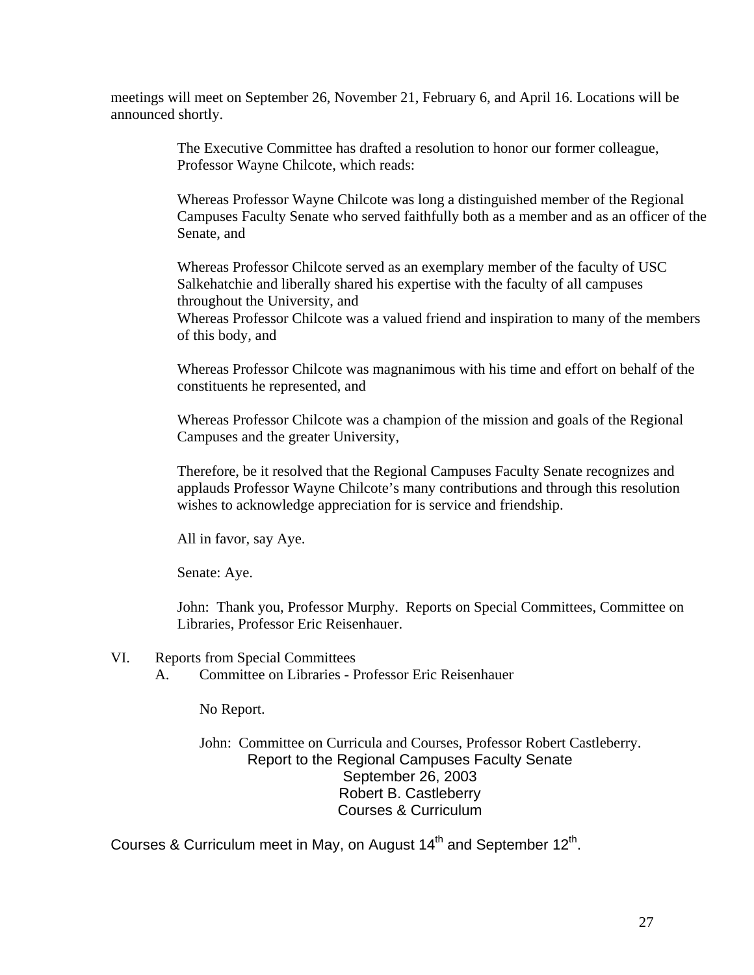meetings will meet on September 26, November 21, February 6, and April 16. Locations will be announced shortly.

> The Executive Committee has drafted a resolution to honor our former colleague, Professor Wayne Chilcote, which reads:

Whereas Professor Wayne Chilcote was long a distinguished member of the Regional Campuses Faculty Senate who served faithfully both as a member and as an officer of the Senate, and

Whereas Professor Chilcote served as an exemplary member of the faculty of USC Salkehatchie and liberally shared his expertise with the faculty of all campuses throughout the University, and

Whereas Professor Chilcote was a valued friend and inspiration to many of the members of this body, and

Whereas Professor Chilcote was magnanimous with his time and effort on behalf of the constituents he represented, and

Whereas Professor Chilcote was a champion of the mission and goals of the Regional Campuses and the greater University,

Therefore, be it resolved that the Regional Campuses Faculty Senate recognizes and applauds Professor Wayne Chilcote's many contributions and through this resolution wishes to acknowledge appreciation for is service and friendship.

All in favor, say Aye.

Senate: Aye.

John: Thank you, Professor Murphy. Reports on Special Committees, Committee on Libraries, Professor Eric Reisenhauer.

### VI. Reports from Special Committees

A. Committee on Libraries - Professor Eric Reisenhauer

No Report.

John: Committee on Curricula and Courses, Professor Robert Castleberry. Report to the Regional Campuses Faculty Senate September 26, 2003 Robert B. Castleberry Courses & Curriculum

Courses & Curriculum meet in May, on August  $14<sup>th</sup>$  and September  $12<sup>th</sup>$ .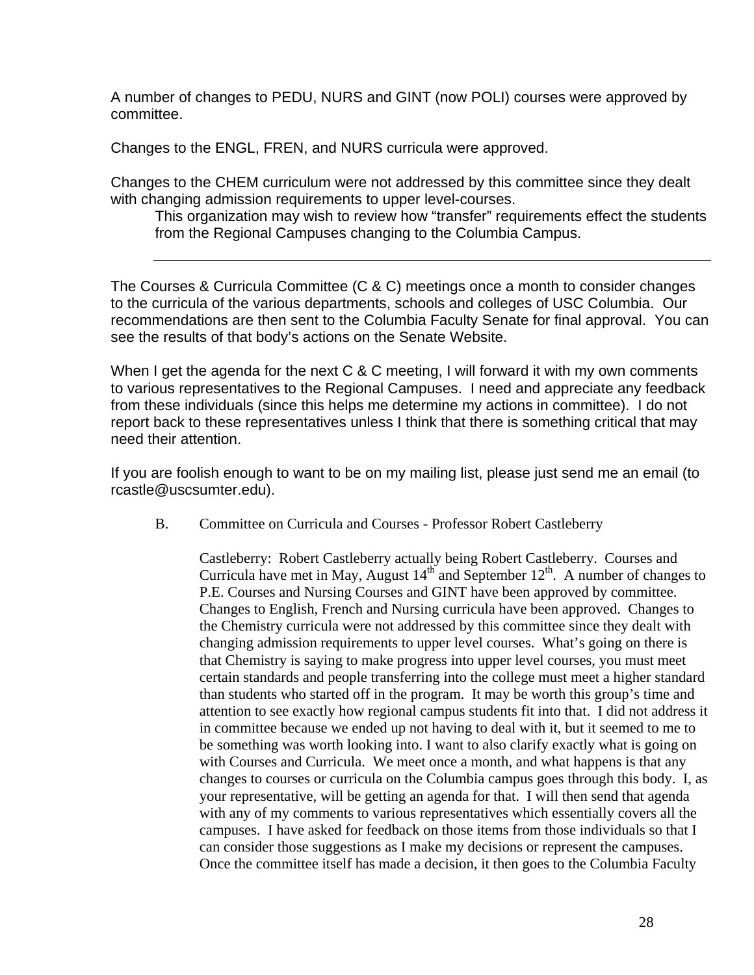A number of changes to PEDU, NURS and GINT (now POLI) courses were approved by committee.

Changes to the ENGL, FREN, and NURS curricula were approved.

Changes to the CHEM curriculum were not addressed by this committee since they dealt with changing admission requirements to upper level-courses.

This organization may wish to review how "transfer" requirements effect the students from the Regional Campuses changing to the Columbia Campus.

The Courses & Curricula Committee (C & C) meetings once a month to consider changes to the curricula of the various departments, schools and colleges of USC Columbia. Our recommendations are then sent to the Columbia Faculty Senate for final approval. You can see the results of that body's actions on the Senate Website.

When I get the agenda for the next C & C meeting, I will forward it with my own comments to various representatives to the Regional Campuses. I need and appreciate any feedback from these individuals (since this helps me determine my actions in committee). I do not report back to these representatives unless I think that there is something critical that may need their attention.

If you are foolish enough to want to be on my mailing list, please just send me an email (to rcastle@uscsumter.edu).

B. Committee on Curricula and Courses - Professor Robert Castleberry

Castleberry: Robert Castleberry actually being Robert Castleberry. Courses and Curricula have met in May, August  $14<sup>th</sup>$  and September  $12<sup>th</sup>$ . A number of changes to P.E. Courses and Nursing Courses and GINT have been approved by committee. Changes to English, French and Nursing curricula have been approved. Changes to the Chemistry curricula were not addressed by this committee since they dealt with changing admission requirements to upper level courses. What's going on there is that Chemistry is saying to make progress into upper level courses, you must meet certain standards and people transferring into the college must meet a higher standard than students who started off in the program. It may be worth this group's time and attention to see exactly how regional campus students fit into that. I did not address it in committee because we ended up not having to deal with it, but it seemed to me to be something was worth looking into. I want to also clarify exactly what is going on with Courses and Curricula. We meet once a month, and what happens is that any changes to courses or curricula on the Columbia campus goes through this body. I, as your representative, will be getting an agenda for that. I will then send that agenda with any of my comments to various representatives which essentially covers all the campuses. I have asked for feedback on those items from those individuals so that I can consider those suggestions as I make my decisions or represent the campuses. Once the committee itself has made a decision, it then goes to the Columbia Faculty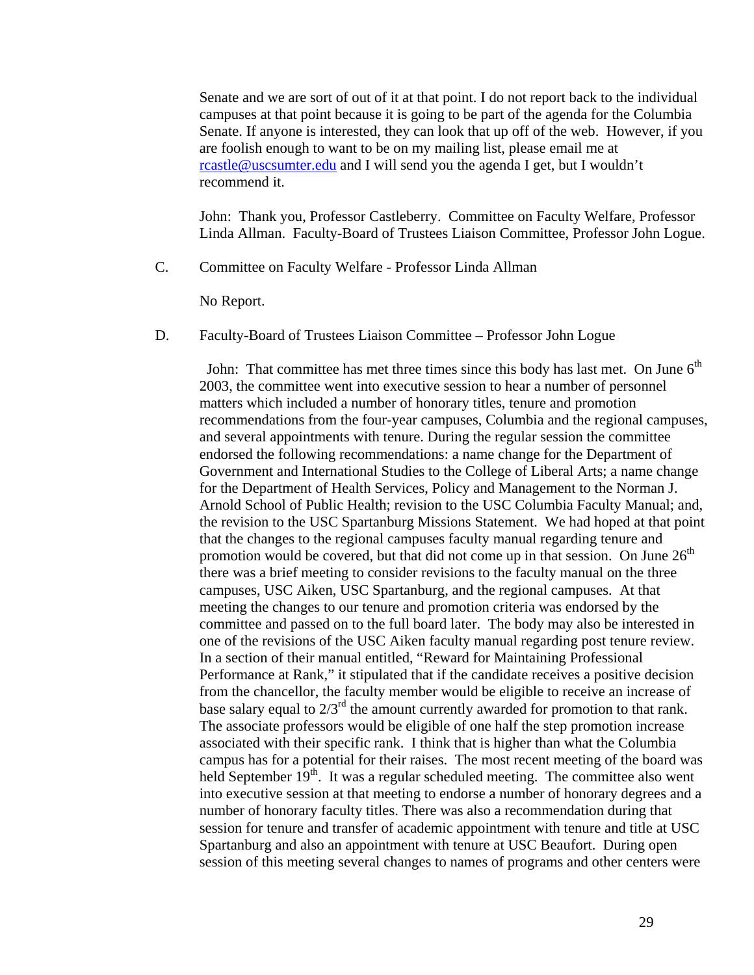Senate and we are sort of out of it at that point. I do not report back to the individual campuses at that point because it is going to be part of the agenda for the Columbia Senate. If anyone is interested, they can look that up off of the web. However, if you are foolish enough to want to be on my mailing list, please email me at [rcastle@uscsumter.edu](mailto:rcastle@uscsumter.edu) and I will send you the agenda I get, but I wouldn't recommend it.

John: Thank you, Professor Castleberry. Committee on Faculty Welfare, Professor Linda Allman. Faculty-Board of Trustees Liaison Committee, Professor John Logue.

C. Committee on Faculty Welfare - Professor Linda Allman

No Report.

D. Faculty-Board of Trustees Liaison Committee – Professor John Logue

John: That committee has met three times since this body has last met. On June  $6<sup>th</sup>$ 2003, the committee went into executive session to hear a number of personnel matters which included a number of honorary titles, tenure and promotion recommendations from the four-year campuses, Columbia and the regional campuses, and several appointments with tenure. During the regular session the committee endorsed the following recommendations: a name change for the Department of Government and International Studies to the College of Liberal Arts; a name change for the Department of Health Services, Policy and Management to the Norman J. Arnold School of Public Health; revision to the USC Columbia Faculty Manual; and, the revision to the USC Spartanburg Missions Statement. We had hoped at that point that the changes to the regional campuses faculty manual regarding tenure and promotion would be covered, but that did not come up in that session. On June  $26<sup>th</sup>$ there was a brief meeting to consider revisions to the faculty manual on the three campuses, USC Aiken, USC Spartanburg, and the regional campuses. At that meeting the changes to our tenure and promotion criteria was endorsed by the committee and passed on to the full board later. The body may also be interested in one of the revisions of the USC Aiken faculty manual regarding post tenure review. In a section of their manual entitled, "Reward for Maintaining Professional Performance at Rank," it stipulated that if the candidate receives a positive decision from the chancellor, the faculty member would be eligible to receive an increase of base salary equal to  $2/3<sup>rd</sup>$  the amount currently awarded for promotion to that rank. The associate professors would be eligible of one half the step promotion increase associated with their specific rank. I think that is higher than what the Columbia campus has for a potential for their raises. The most recent meeting of the board was held September  $19<sup>th</sup>$ . It was a regular scheduled meeting. The committee also went into executive session at that meeting to endorse a number of honorary degrees and a number of honorary faculty titles. There was also a recommendation during that session for tenure and transfer of academic appointment with tenure and title at USC Spartanburg and also an appointment with tenure at USC Beaufort. During open session of this meeting several changes to names of programs and other centers were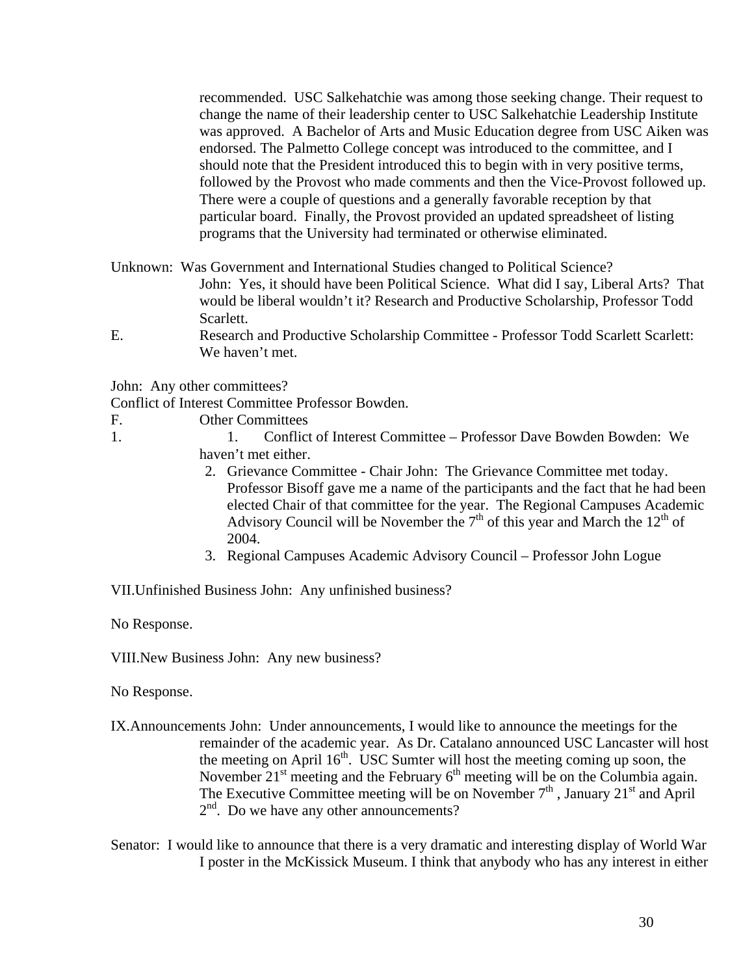recommended. USC Salkehatchie was among those seeking change. Their request to change the name of their leadership center to USC Salkehatchie Leadership Institute was approved. A Bachelor of Arts and Music Education degree from USC Aiken was endorsed. The Palmetto College concept was introduced to the committee, and I should note that the President introduced this to begin with in very positive terms, followed by the Provost who made comments and then the Vice-Provost followed up. There were a couple of questions and a generally favorable reception by that particular board. Finally, the Provost provided an updated spreadsheet of listing programs that the University had terminated or otherwise eliminated.

- Unknown: Was Government and International Studies changed to Political Science? John: Yes, it should have been Political Science. What did I say, Liberal Arts? That would be liberal wouldn't it? Research and Productive Scholarship, Professor Todd Scarlett.
- E. Research and Productive Scholarship Committee Professor Todd Scarlett Scarlett: We haven't met.

John: Any other committees?

- Conflict of Interest Committee Professor Bowden.
- F. Other Committees
- 1. 1. Conflict of Interest Committee Professor Dave Bowden Bowden: We haven't met either.
	- 2. Grievance Committee Chair John: The Grievance Committee met today. Professor Bisoff gave me a name of the participants and the fact that he had been elected Chair of that committee for the year. The Regional Campuses Academic Advisory Council will be November the  $7<sup>th</sup>$  of this year and March the  $12<sup>th</sup>$  of 2004.
	- 3. Regional Campuses Academic Advisory Council Professor John Logue

VII.Unfinished Business John: Any unfinished business?

No Response.

VIII.New Business John: Any new business?

No Response.

IX.Announcements John: Under announcements, I would like to announce the meetings for the remainder of the academic year. As Dr. Catalano announced USC Lancaster will host the meeting on April  $16<sup>th</sup>$ . USC Sumter will host the meeting coming up soon, the November  $21<sup>st</sup>$  meeting and the February 6<sup>th</sup> meeting will be on the Columbia again. The Executive Committee meeting will be on November  $7<sup>th</sup>$ , January  $21<sup>st</sup>$  and April  $2<sup>nd</sup>$ . Do we have any other announcements?

Senator: I would like to announce that there is a very dramatic and interesting display of World War I poster in the McKissick Museum. I think that anybody who has any interest in either